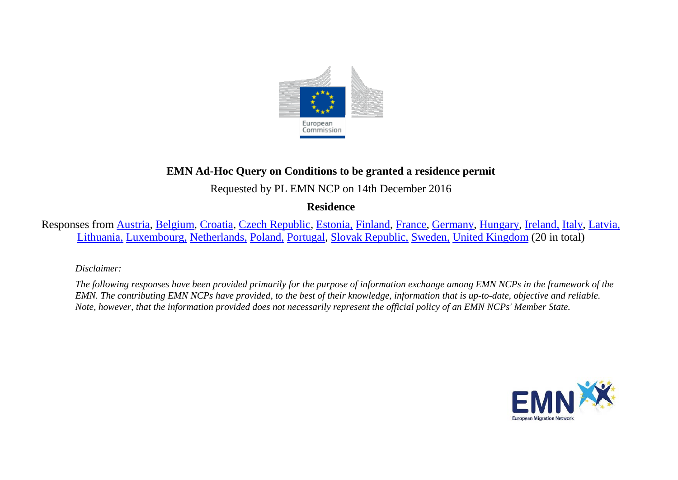

# **EMN Ad-Hoc Query on Conditions to be granted a residence permit**

Requested by PL EMN NCP on 14th December 2016

**Residence**

Responses from [Austria,](#page-2-0) [Belgium,](#page-2-1) [Croatia,](#page-3-0) [Czech Republic,](#page-5-0) [Estonia,](#page-6-0) [Finland,](#page-7-0) [France,](#page-12-0) [Germany,](#page-18-0) [Hungary,](#page-18-1) [Ireland,](#page-19-0) [Italy,](#page-20-0) [Latvia,](#page-21-0) [Lithuania,](#page-22-0) [Luxembourg,](#page-22-1) [Netherlands,](#page-26-0) [Poland,](#page-27-0) [Portugal,](#page-28-0) [Slovak Republic,](#page-29-0) [Sweden,](#page-30-0) [United Kingdom](#page-30-1) (20 in total)

#### *Disclaimer:*

*The following responses have been provided primarily for the purpose of information exchange among EMN NCPs in the framework of the EMN. The contributing EMN NCPs have provided, to the best of their knowledge, information that is up-to-date, objective and reliable. Note, however, that the information provided does not necessarily represent the official policy of an EMN NCPs' Member State.*

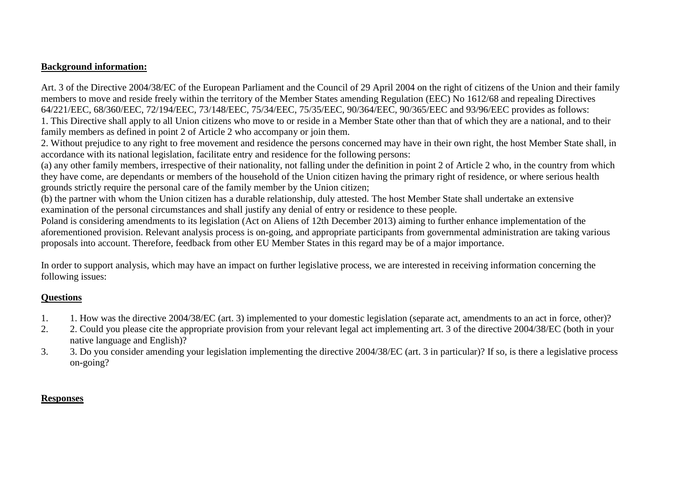### **Background information:**

Art. 3 of the Directive 2004/38/EC of the European Parliament and the Council of 29 April 2004 on the right of citizens of the Union and their family members to move and reside freely within the territory of the Member States amending Regulation (EEC) No 1612/68 and repealing Directives 64/221/EEC, 68/360/EEC, 72/194/EEC, 73/148/EEC, 75/34/EEC, 75/35/EEC, 90/364/EEC, 90/365/EEC and 93/96/EEC provides as follows: 1. This Directive shall apply to all Union citizens who move to or reside in a Member State other than that of which they are a national, and to their family members as defined in point 2 of Article 2 who accompany or join them.

2. Without prejudice to any right to free movement and residence the persons concerned may have in their own right, the host Member State shall, in accordance with its national legislation, facilitate entry and residence for the following persons:

(a) any other family members, irrespective of their nationality, not falling under the definition in point 2 of Article 2 who, in the country from which they have come, are dependants or members of the household of the Union citizen having the primary right of residence, or where serious health grounds strictly require the personal care of the family member by the Union citizen;

(b) the partner with whom the Union citizen has a durable relationship, duly attested. The host Member State shall undertake an extensive examination of the personal circumstances and shall justify any denial of entry or residence to these people.

Poland is considering amendments to its legislation (Act on Aliens of 12th December 2013) aiming to further enhance implementation of the aforementioned provision. Relevant analysis process is on-going, and appropriate participants from governmental administration are taking various proposals into account. Therefore, feedback from other EU Member States in this regard may be of a major importance.

In order to support analysis, which may have an impact on further legislative process, we are interested in receiving information concerning the following issues:

# **Questions**

- 1. 1. How was the directive 2004/38/EC (art. 3) implemented to your domestic legislation (separate act, amendments to an act in force, other)?
- 2. 2. Could you please cite the appropriate provision from your relevant legal act implementing art. 3 of the directive 2004/38/EC (both in your native language and English)?
- 3. 3. Do you consider amending your legislation implementing the directive 2004/38/EC (art. 3 in particular)? If so, is there a legislative process on-going?

# **Responses**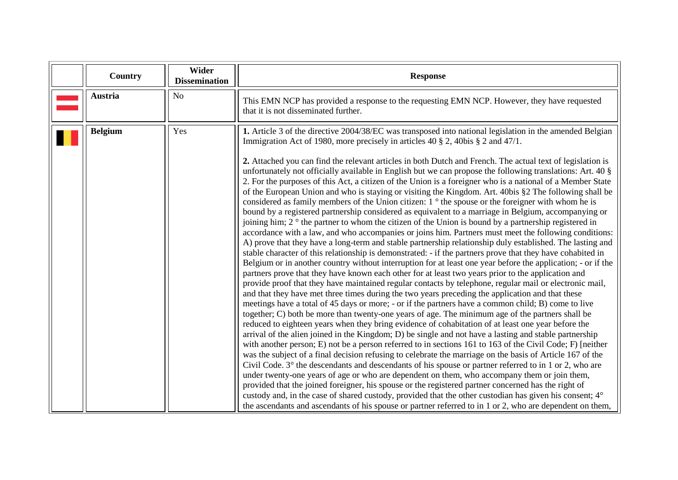<span id="page-2-1"></span><span id="page-2-0"></span>

| Country        | Wider<br><b>Dissemination</b> | <b>Response</b>                                                                                                                                                                                                                                                                                                                                                                                                                                                                                                                                                                                                                                                                                                                                                                                                                                                                                                                                                                                                                                                                                                                                                                                                                                                                                                                                                                                                                                                                                                                                                                                                                                                                                                                                                                                                                                                                                                                                                                                                                                                                                                                                                                                                                                                                                                                                                                                                                                                                                                                                                                                                                                                                                                                                                                                                                                                                                                                                                     |
|----------------|-------------------------------|---------------------------------------------------------------------------------------------------------------------------------------------------------------------------------------------------------------------------------------------------------------------------------------------------------------------------------------------------------------------------------------------------------------------------------------------------------------------------------------------------------------------------------------------------------------------------------------------------------------------------------------------------------------------------------------------------------------------------------------------------------------------------------------------------------------------------------------------------------------------------------------------------------------------------------------------------------------------------------------------------------------------------------------------------------------------------------------------------------------------------------------------------------------------------------------------------------------------------------------------------------------------------------------------------------------------------------------------------------------------------------------------------------------------------------------------------------------------------------------------------------------------------------------------------------------------------------------------------------------------------------------------------------------------------------------------------------------------------------------------------------------------------------------------------------------------------------------------------------------------------------------------------------------------------------------------------------------------------------------------------------------------------------------------------------------------------------------------------------------------------------------------------------------------------------------------------------------------------------------------------------------------------------------------------------------------------------------------------------------------------------------------------------------------------------------------------------------------------------------------------------------------------------------------------------------------------------------------------------------------------------------------------------------------------------------------------------------------------------------------------------------------------------------------------------------------------------------------------------------------------------------------------------------------------------------------------------------------|
| <b>Austria</b> | N <sub>o</sub>                | This EMN NCP has provided a response to the requesting EMN NCP. However, they have requested<br>that it is not disseminated further.                                                                                                                                                                                                                                                                                                                                                                                                                                                                                                                                                                                                                                                                                                                                                                                                                                                                                                                                                                                                                                                                                                                                                                                                                                                                                                                                                                                                                                                                                                                                                                                                                                                                                                                                                                                                                                                                                                                                                                                                                                                                                                                                                                                                                                                                                                                                                                                                                                                                                                                                                                                                                                                                                                                                                                                                                                |
| <b>Belgium</b> | Yes                           | 1. Article 3 of the directive 2004/38/EC was transposed into national legislation in the amended Belgian<br>Immigration Act of 1980, more precisely in articles 40 $\S$ 2, 40bis $\S$ 2 and 47/1.<br>2. Attached you can find the relevant articles in both Dutch and French. The actual text of legislation is<br>unfortunately not officially available in English but we can propose the following translations: Art. 40 §<br>2. For the purposes of this Act, a citizen of the Union is a foreigner who is a national of a Member State<br>of the European Union and who is staying or visiting the Kingdom. Art. 40bis §2 The following shall be<br>considered as family members of the Union citizen: 1 ° the spouse or the foreigner with whom he is<br>bound by a registered partnership considered as equivalent to a marriage in Belgium, accompanying or<br>joining him; $2^{\circ}$ the partner to whom the citizen of the Union is bound by a partnership registered in<br>accordance with a law, and who accompanies or joins him. Partners must meet the following conditions:<br>A) prove that they have a long-term and stable partnership relationship duly established. The lasting and<br>stable character of this relationship is demonstrated: - if the partners prove that they have cohabited in<br>Belgium or in another country without interruption for at least one year before the application; - or if the<br>partners prove that they have known each other for at least two years prior to the application and<br>provide proof that they have maintained regular contacts by telephone, regular mail or electronic mail,<br>and that they have met three times during the two years preceding the application and that these<br>meetings have a total of 45 days or more; - or if the partners have a common child; B) come to live<br>together; C) both be more than twenty-one years of age. The minimum age of the partners shall be<br>reduced to eighteen years when they bring evidence of cohabitation of at least one year before the<br>arrival of the alien joined in the Kingdom; D) be single and not have a lasting and stable partnership<br>with another person; E) not be a person referred to in sections 161 to 163 of the Civil Code; F) [neither<br>was the subject of a final decision refusing to celebrate the marriage on the basis of Article 167 of the<br>Civil Code. 3° the descendants and descendants of his spouse or partner referred to in 1 or 2, who are<br>under twenty-one years of age or who are dependent on them, who accompany them or join them,<br>provided that the joined foreigner, his spouse or the registered partner concerned has the right of<br>custody and, in the case of shared custody, provided that the other custodian has given his consent; $4^{\circ}$<br>the ascendants and ascendants of his spouse or partner referred to in 1 or 2, who are dependent on them, |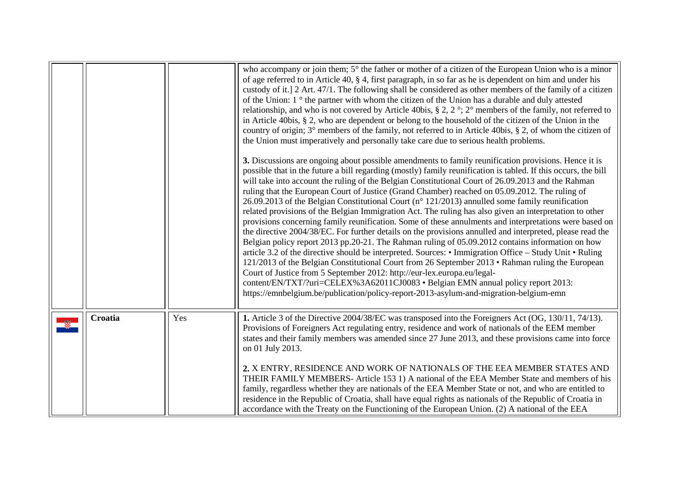<span id="page-3-0"></span>

|         |     | who accompany or join them; 5° the father or mother of a citizen of the European Union who is a minor<br>of age referred to in Article 40, § 4, first paragraph, in so far as he is dependent on him and under his<br>custody of it.] 2 Art. 47/1. The following shall be considered as other members of the family of a citizen<br>of the Union: 1 ° the partner with whom the citizen of the Union has a durable and duly attested<br>relationship, and who is not covered by Article 40bis, § 2, 2°; 2° members of the family, not referred to<br>in Article 40bis, § 2, who are dependent or belong to the household of the citizen of the Union in the<br>country of origin; $3^\circ$ members of the family, not referred to in Article 40bis, § 2, of whom the citizen of<br>the Union must imperatively and personally take care due to serious health problems.<br>3. Discussions are ongoing about possible amendments to family reunification provisions. Hence it is<br>possible that in the future a bill regarding (mostly) family reunification is tabled. If this occurs, the bill<br>will take into account the ruling of the Belgian Constitutional Court of 26.09.2013 and the Rahman<br>ruling that the European Court of Justice (Grand Chamber) reached on 05.09.2012. The ruling of<br>26.09.2013 of the Belgian Constitutional Court ( $n^{\circ}$ 121/2013) annulled some family reunification<br>related provisions of the Belgian Immigration Act. The ruling has also given an interpretation to other<br>provisions concerning family reunification. Some of these annulments and interpretations were based on<br>the directive 2004/38/EC. For further details on the provisions annulled and interpreted, please read the<br>Belgian policy report 2013 pp.20-21. The Rahman ruling of 05.09.2012 contains information on how<br>article 3.2 of the directive should be interpreted. Sources: • Immigration Office – Study Unit • Ruling<br>121/2013 of the Belgian Constitutional Court from 26 September 2013 • Rahman ruling the European<br>Court of Justice from 5 September 2012: http://eur-lex.europa.eu/legal-<br>content/EN/TXT/?uri=CELEX%3A62011CJ0083 • Belgian EMN annual policy report 2013:<br>https://emnbelgium.be/publication/policy-report-2013-asylum-and-migration-belgium-emn |
|---------|-----|--------------------------------------------------------------------------------------------------------------------------------------------------------------------------------------------------------------------------------------------------------------------------------------------------------------------------------------------------------------------------------------------------------------------------------------------------------------------------------------------------------------------------------------------------------------------------------------------------------------------------------------------------------------------------------------------------------------------------------------------------------------------------------------------------------------------------------------------------------------------------------------------------------------------------------------------------------------------------------------------------------------------------------------------------------------------------------------------------------------------------------------------------------------------------------------------------------------------------------------------------------------------------------------------------------------------------------------------------------------------------------------------------------------------------------------------------------------------------------------------------------------------------------------------------------------------------------------------------------------------------------------------------------------------------------------------------------------------------------------------------------------------------------------------------------------------------------------------------------------------------------------------------------------------------------------------------------------------------------------------------------------------------------------------------------------------------------------------------------------------------------------------------------------------------------------------------------------------------------------------------------------------------------------------------------------------------------------|
| Croatia | Yes | 1. Article 3 of the Directive 2004/38/EC was transposed into the Foreigners Act (OG, 130/11, 74/13).<br>Provisions of Foreigners Act regulating entry, residence and work of nationals of the EEM member<br>states and their family members was amended since 27 June 2013, and these provisions came into force<br>on 01 July 2013.<br>2. X ENTRY, RESIDENCE AND WORK OF NATIONALS OF THE EEA MEMBER STATES AND<br>THEIR FAMILY MEMBERS- Article 153 1) A national of the EEA Member State and members of his<br>family, regardless whether they are nationals of the EEA Member State or not, and who are entitled to<br>residence in the Republic of Croatia, shall have equal rights as nationals of the Republic of Croatia in<br>accordance with the Treaty on the Functioning of the European Union. (2) A national of the EEA                                                                                                                                                                                                                                                                                                                                                                                                                                                                                                                                                                                                                                                                                                                                                                                                                                                                                                                                                                                                                                                                                                                                                                                                                                                                                                                                                                                                                                                                                                |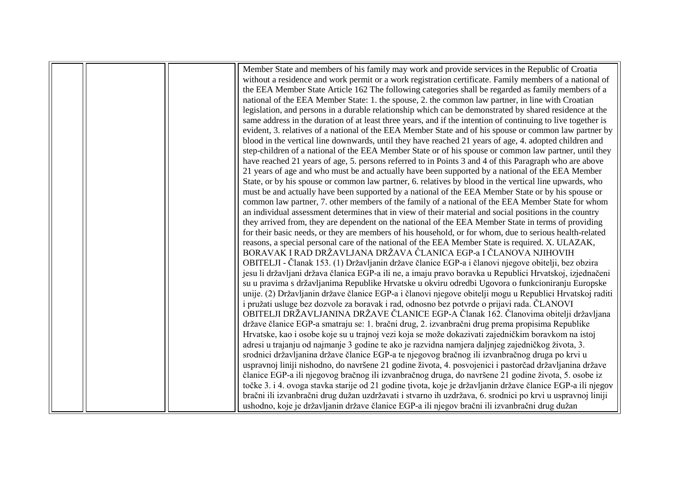|  | Member State and members of his family may work and provide services in the Republic of Croatia              |
|--|--------------------------------------------------------------------------------------------------------------|
|  | without a residence and work permit or a work registration certificate. Family members of a national of      |
|  | the EEA Member State Article 162 The following categories shall be regarded as family members of a           |
|  | national of the EEA Member State: 1. the spouse, 2. the common law partner, in line with Croatian            |
|  | legislation, and persons in a durable relationship which can be demonstrated by shared residence at the      |
|  | same address in the duration of at least three years, and if the intention of continuing to live together is |
|  | evident, 3. relatives of a national of the EEA Member State and of his spouse or common law partner by       |
|  | blood in the vertical line downwards, until they have reached 21 years of age, 4. adopted children and       |
|  | step-children of a national of the EEA Member State or of his spouse or common law partner, until they       |
|  | have reached 21 years of age, 5. persons referred to in Points 3 and 4 of this Paragraph who are above       |
|  | 21 years of age and who must be and actually have been supported by a national of the EEA Member             |
|  | State, or by his spouse or common law partner, 6. relatives by blood in the vertical line upwards, who       |
|  | must be and actually have been supported by a national of the EEA Member State or by his spouse or           |
|  | common law partner, 7. other members of the family of a national of the EEA Member State for whom            |
|  | an individual assessment determines that in view of their material and social positions in the country       |
|  | they arrived from, they are dependent on the national of the EEA Member State in terms of providing          |
|  | for their basic needs, or they are members of his household, or for whom, due to serious health-related      |
|  | reasons, a special personal care of the national of the EEA Member State is required. X. ULAZAK,             |
|  | BORAVAK I RAD DRŽAVLJANA DRŽAVA ĈLANICA EGP-a I ČLANOVA NJIHOVIH                                             |
|  | OBITELJI - Članak 153. (1) Državljanin države članice EGP-a i članovi njegove obitelji, bez obzira           |
|  | jesu li državljani država članica EGP-a ili ne, a imaju pravo boravka u Republici Hrvatskoj, izjednačeni     |
|  | su u pravima s državljanima Republike Hrvatske u okviru odredbi Ugovora o funkcioniranju Europske            |
|  | unije. (2) Državljanin države članice EGP-a i članovi njegove obitelji mogu u Republici Hrvatskoj raditi     |
|  | i pružati usluge bez dozvole za boravak i rad, odnosno bez potvrde o prijavi rada. ČLANOVI                   |
|  | OBITELJI DRŽAVLJANINA DRŽAVE ČLANICE EGP-A Članak 162. Članovima obitelji državljana                         |
|  | države članice EGP-a smatraju se: 1. bračni drug, 2. izvanbračni drug prema propisima Republike              |
|  | Hrvatske, kao i osobe koje su u trajnoj vezi koja se može dokazivati zajedničkim boravkom na istoj           |
|  | adresi u trajanju od najmanje 3 godine te ako je razvidna namjera daljnjeg zajedničkog života, 3.            |
|  | srodnici državljanina države članice EGP-a te njegovog bračnog ili izvanbračnog druga po krvi u              |
|  | uspravnoj liniji nishodno, do navršene 21 godine života, 4. posvojenici i pastorčad državljanina države      |
|  | članice EGP-a ili njegovog bračnog ili izvanbračnog druga, do navršene 21 godine života, 5. osobe iz         |
|  | točke 3. i 4. ovoga stavka starije od 21 godine tivota, koje je državljanin države članice EGP-a ili njegov  |
|  | bračni ili izvanbračni drug dužan uzdržavati i stvarno ih uzdržava, 6. srodnici po krvi u uspravnoj liniji   |
|  | ushodno, koje je državljanin države članice EGP-a ili njegov bračni ili izvanbračni drug dužan               |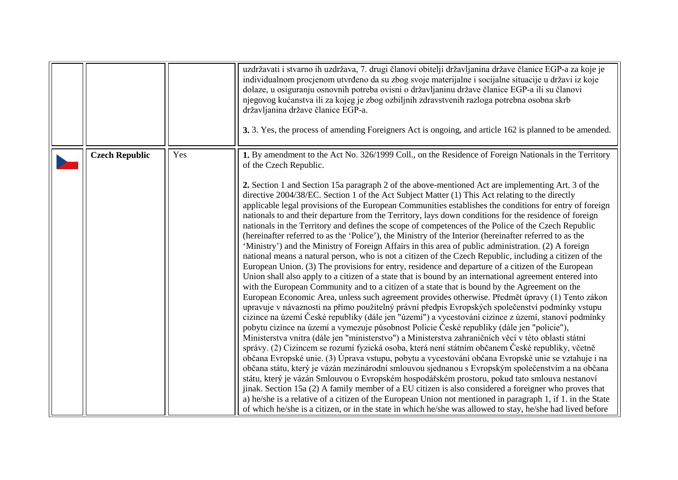<span id="page-5-0"></span>

|                       |     | uzdržavati i stvarno ih uzdržava, 7. drugi članovi obitelji državljanina države članice EGP-a za koje je<br>individualnom procjenom utvrđeno da su zbog svoje materijalne i socijalne situacije u državi iz koje<br>dolaze, u osiguranju osnovnih potreba ovisni o državljaninu države članice EGP-a ili su članovi<br>njegovog kućanstva ili za kojeg je zbog ozbiljnih zdravstvenih razloga potrebna osobna skrb<br>državljanina države članice EGP-a.<br>3. 3. Yes, the process of amending Foreigners Act is ongoing, and article 162 is planned to be amended.                                                                                                                                                                                                                                                                                                                                                                                                                                                                                                                                                                                                                                                                                                                                                                                                                                                                                                                                                                                                                                                                                                                                                                                                                                                                                                                                                                                                                                                                                                                                                                                                                                                                                                                                                                                                                                                                                                                                                                                                                               |  |
|-----------------------|-----|---------------------------------------------------------------------------------------------------------------------------------------------------------------------------------------------------------------------------------------------------------------------------------------------------------------------------------------------------------------------------------------------------------------------------------------------------------------------------------------------------------------------------------------------------------------------------------------------------------------------------------------------------------------------------------------------------------------------------------------------------------------------------------------------------------------------------------------------------------------------------------------------------------------------------------------------------------------------------------------------------------------------------------------------------------------------------------------------------------------------------------------------------------------------------------------------------------------------------------------------------------------------------------------------------------------------------------------------------------------------------------------------------------------------------------------------------------------------------------------------------------------------------------------------------------------------------------------------------------------------------------------------------------------------------------------------------------------------------------------------------------------------------------------------------------------------------------------------------------------------------------------------------------------------------------------------------------------------------------------------------------------------------------------------------------------------------------------------------------------------------------------------------------------------------------------------------------------------------------------------------------------------------------------------------------------------------------------------------------------------------------------------------------------------------------------------------------------------------------------------------------------------------------------------------------------------------------------------------|--|
| <b>Czech Republic</b> | Yes | 1. By amendment to the Act No. 326/1999 Coll., on the Residence of Foreign Nationals in the Territory<br>of the Czech Republic.<br>2. Section 1 and Section 15a paragraph 2 of the above-mentioned Act are implementing Art. 3 of the<br>directive 2004/38/EC. Section 1 of the Act Subject Matter (1) This Act relating to the directly<br>applicable legal provisions of the European Communities establishes the conditions for entry of foreign<br>nationals to and their departure from the Territory, lays down conditions for the residence of foreign<br>nationals in the Territory and defines the scope of competences of the Police of the Czech Republic<br>(hereinafter referred to as the 'Police'), the Ministry of the Interior (hereinafter referred to as the<br>'Ministry') and the Ministry of Foreign Affairs in this area of public administration. (2) A foreign<br>national means a natural person, who is not a citizen of the Czech Republic, including a citizen of the<br>European Union. (3) The provisions for entry, residence and departure of a citizen of the European<br>Union shall also apply to a citizen of a state that is bound by an international agreement entered into<br>with the European Community and to a citizen of a state that is bound by the Agreement on the<br>European Economic Area, unless such agreement provides otherwise. Předmět úpravy (1) Tento zákon<br>upravuje v návaznosti na přímo použitelný právní předpis Evropských společenství podmínky vstupu<br>cizince na území České republiky (dále jen "území") a vycestování cizince z území, stanoví podmínky<br>pobytu cizince na území a vymezuje působnost Policie České republiky (dále jen "policie"),<br>Ministerstva vnitra (dále jen "ministerstvo") a Ministerstva zahraničních věcí v této oblasti státní<br>správy. (2) Cizincem se rozumí fyzická osoba, která není státním občanem České republiky, včetně<br>občana Evropské unie. (3) Úprava vstupu, pobytu a vycestování občana Evropské unie se vztahuje i na<br>občana státu, který je vázán mezinárodní smlouvou sjednanou s Evropským společenstvím a na občana<br>státu, který je vázán Smlouvou o Evropském hospodářském prostoru, pokud tato smlouva nestanoví<br>jinak. Section 15a (2) A family member of a EU citizen is also considered a foreigner who proves that<br>a) he/she is a relative of a citizen of the European Union not mentioned in paragraph 1, if 1, in the State<br>of which he/she is a citizen, or in the state in which he/she was allowed to stay, he/she had lived before |  |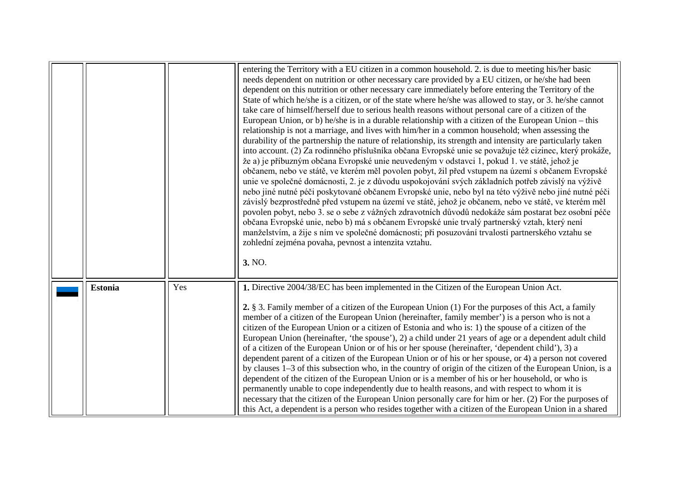<span id="page-6-0"></span>

|                |     | entering the Territory with a EU citizen in a common household. 2. is due to meeting his/her basic<br>needs dependent on nutrition or other necessary care provided by a EU citizen, or he/she had been<br>dependent on this nutrition or other necessary care immediately before entering the Territory of the<br>State of which he/she is a citizen, or of the state where he/she was allowed to stay, or 3. he/she cannot<br>take care of himself/herself due to serious health reasons without personal care of a citizen of the<br>European Union, or b) he/she is in a durable relationship with a citizen of the European Union – this<br>relationship is not a marriage, and lives with him/her in a common household; when assessing the<br>durability of the partnership the nature of relationship, its strength and intensity are particularly taken<br>into account. (2) Za rodinného příslušníka občana Evropské unie se považuje též cizinec, který prokáže,<br>že a) je příbuzným občana Evropské unie neuvedeným v odstavci 1, pokud 1. ve státě, jehož je<br>občanem, nebo ve státě, ve kterém měl povolen pobyt, žil před vstupem na území s občanem Evropské<br>unie ve společné domácnosti, 2. je z důvodu uspokojování svých základních potřeb závislý na výživě<br>nebo jiné nutné péči poskytované občanem Evropské unie, nebo byl na této výživě nebo jiné nutné péči<br>závislý bezprostředně před vstupem na území ve státě, jehož je občanem, nebo ve státě, ve kterém měl<br>povolen pobyt, nebo 3. se o sebe z vážných zdravotních důvodů nedokáže sám postarat bez osobní péče<br>občana Evropské unie, nebo b) má s občanem Evropské unie trvalý partnerský vztah, který není<br>manželstvím, a žije s ním ve společné domácnosti; při posuzování trvalosti partnerského vztahu se<br>zohlední zejména povaha, pevnost a intenzita vztahu.<br>3. NO. |
|----------------|-----|--------------------------------------------------------------------------------------------------------------------------------------------------------------------------------------------------------------------------------------------------------------------------------------------------------------------------------------------------------------------------------------------------------------------------------------------------------------------------------------------------------------------------------------------------------------------------------------------------------------------------------------------------------------------------------------------------------------------------------------------------------------------------------------------------------------------------------------------------------------------------------------------------------------------------------------------------------------------------------------------------------------------------------------------------------------------------------------------------------------------------------------------------------------------------------------------------------------------------------------------------------------------------------------------------------------------------------------------------------------------------------------------------------------------------------------------------------------------------------------------------------------------------------------------------------------------------------------------------------------------------------------------------------------------------------------------------------------------------------------------------------------------------------------------------------------------------------------------------------------------------------------|
| <b>Estonia</b> | Yes | 1. Directive 2004/38/EC has been implemented in the Citizen of the European Union Act.<br>2. § 3. Family member of a citizen of the European Union (1) For the purposes of this Act, a family<br>member of a citizen of the European Union (hereinafter, family member') is a person who is not a<br>citizen of the European Union or a citizen of Estonia and who is: 1) the spouse of a citizen of the<br>European Union (hereinafter, 'the spouse'), 2) a child under 21 years of age or a dependent adult child<br>of a citizen of the European Union or of his or her spouse (hereinafter, 'dependent child'), 3) a<br>dependent parent of a citizen of the European Union or of his or her spouse, or 4) a person not covered<br>by clauses 1–3 of this subsection who, in the country of origin of the citizen of the European Union, is a<br>dependent of the citizen of the European Union or is a member of his or her household, or who is<br>permanently unable to cope independently due to health reasons, and with respect to whom it is<br>necessary that the citizen of the European Union personally care for him or her. (2) For the purposes of<br>this Act, a dependent is a person who resides together with a citizen of the European Union in a shared                                                                                                                                                                                                                                                                                                                                                                                                                                                                                                                                                                                                       |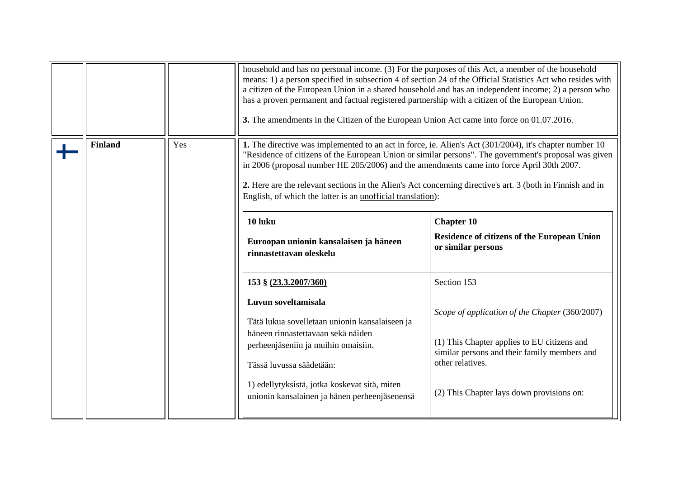<span id="page-7-0"></span>

|                |     | household and has no personal income. (3) For the purposes of this Act, a member of the household<br>means: 1) a person specified in subsection 4 of section 24 of the Official Statistics Act who resides with<br>a citizen of the European Union in a shared household and has an independent income; 2) a person who<br>has a proven permanent and factual registered partnership with a citizen of the European Union.<br>3. The amendments in the Citizen of the European Union Act came into force on 01.07.2016.                                                                                                                                                                                                                                                                                                                                                                    |                                                                                                                                                                                                                                                                                                                         |  |
|----------------|-----|--------------------------------------------------------------------------------------------------------------------------------------------------------------------------------------------------------------------------------------------------------------------------------------------------------------------------------------------------------------------------------------------------------------------------------------------------------------------------------------------------------------------------------------------------------------------------------------------------------------------------------------------------------------------------------------------------------------------------------------------------------------------------------------------------------------------------------------------------------------------------------------------|-------------------------------------------------------------------------------------------------------------------------------------------------------------------------------------------------------------------------------------------------------------------------------------------------------------------------|--|
| <b>Finland</b> | Yes | 1. The directive was implemented to an act in force, ie. Alien's Act $(301/2004)$ , it's chapter number 10<br>"Residence of citizens of the European Union or similar persons". The government's proposal was given<br>in 2006 (proposal number HE 205/2006) and the amendments came into force April 30th 2007.<br>2. Here are the relevant sections in the Alien's Act concerning directive's art. 3 (both in Finnish and in<br>English, of which the latter is an unofficial translation):<br>10 luku<br>Euroopan unionin kansalaisen ja häneen<br>rinnastettavan oleskelu<br>153 § (23.3.2007/360)<br>Luvun soveltamisala<br>Tätä lukua sovelletaan unionin kansalaiseen ja<br>häneen rinnastettavaan sekä näiden<br>perheenjäseniin ja muihin omaisiin.<br>Tässä luvussa säädetään:<br>1) edellytyksistä, jotka koskevat sitä, miten<br>unionin kansalainen ja hänen perheenjäsenensä | <b>Chapter 10</b><br>Residence of citizens of the European Union<br>or similar persons<br>Section 153<br>Scope of application of the Chapter (360/2007)<br>(1) This Chapter applies to EU citizens and<br>similar persons and their family members and<br>other relatives.<br>(2) This Chapter lays down provisions on: |  |
|                |     |                                                                                                                                                                                                                                                                                                                                                                                                                                                                                                                                                                                                                                                                                                                                                                                                                                                                                            |                                                                                                                                                                                                                                                                                                                         |  |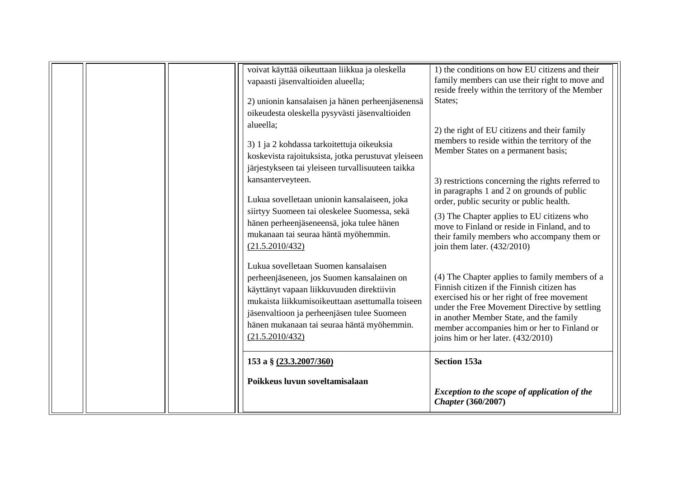| voivat käyttää oikeuttaan liikkua ja oleskella<br>vapaasti jäsenvaltioiden alueella;<br>2) unionin kansalaisen ja hänen perheenjäsenensä<br>oikeudesta oleskella pysyvästi jäsenvaltioiden<br>alueella;<br>3) 1 ja 2 kohdassa tarkoitettuja oikeuksia<br>koskevista rajoituksista, jotka perustuvat yleiseen<br>järjestykseen tai yleiseen turvallisuuteen taikka<br>kansanterveyteen. | 1) the conditions on how EU citizens and their<br>family members can use their right to move and<br>reside freely within the territory of the Member<br>States;<br>2) the right of EU citizens and their family<br>members to reside within the territory of the<br>Member States on a permanent basis;<br>3) restrictions concerning the rights referred to |
|----------------------------------------------------------------------------------------------------------------------------------------------------------------------------------------------------------------------------------------------------------------------------------------------------------------------------------------------------------------------------------------|--------------------------------------------------------------------------------------------------------------------------------------------------------------------------------------------------------------------------------------------------------------------------------------------------------------------------------------------------------------|
| Lukua sovelletaan unionin kansalaiseen, joka<br>siirtyy Suomeen tai oleskelee Suomessa, sekä<br>hänen perheenjäseneensä, joka tulee hänen<br>mukanaan tai seuraa häntä myöhemmin.<br>(21.5.2010/432)                                                                                                                                                                                   | in paragraphs 1 and 2 on grounds of public<br>order, public security or public health.<br>(3) The Chapter applies to EU citizens who<br>move to Finland or reside in Finland, and to<br>their family members who accompany them or<br>join them later. $(432/2010)$                                                                                          |
| Lukua sovelletaan Suomen kansalaisen<br>perheenjäseneen, jos Suomen kansalainen on<br>käyttänyt vapaan liikkuvuuden direktiivin<br>mukaista liikkumisoikeuttaan asettumalla toiseen<br>jäsenvaltioon ja perheenjäsen tulee Suomeen<br>hänen mukanaan tai seuraa häntä myöhemmin.<br>(21.5.2010/432)                                                                                    | (4) The Chapter applies to family members of a<br>Finnish citizen if the Finnish citizen has<br>exercised his or her right of free movement<br>under the Free Movement Directive by settling<br>in another Member State, and the family<br>member accompanies him or her to Finland or<br>joins him or her later. (432/2010)                                 |
| 153 a § (23.3.2007/360)<br>Poikkeus luvun soveltamisalaan                                                                                                                                                                                                                                                                                                                              | <b>Section 153a</b><br>Exception to the scope of application of the<br><b>Chapter</b> (360/2007)                                                                                                                                                                                                                                                             |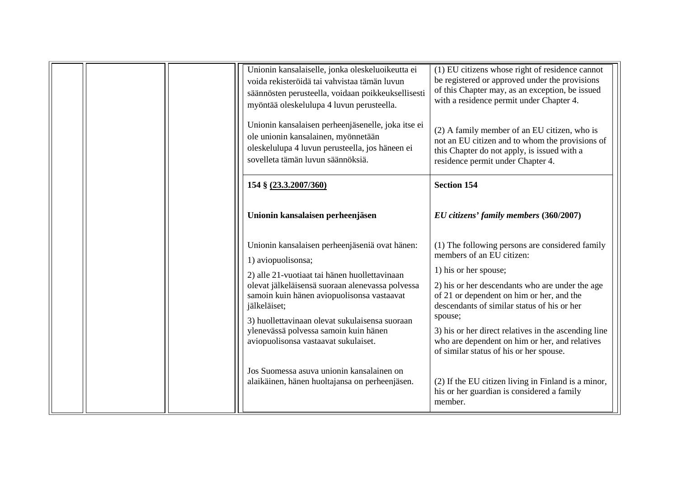|  | Unionin kansalaiselle, jonka oleskeluoikeutta ei<br>voida rekisteröidä tai vahvistaa tämän luvun<br>säännösten perusteella, voidaan poikkeuksellisesti<br>myöntää oleskelulupa 4 luvun perusteella.<br>Unionin kansalaisen perheenjäsenelle, joka itse ei<br>ole unionin kansalainen, myönnetään<br>oleskelulupa 4 luvun perusteella, jos häneen ei<br>sovelleta tämän luvun säännöksiä.                                                                                  | (1) EU citizens whose right of residence cannot<br>be registered or approved under the provisions<br>of this Chapter may, as an exception, be issued<br>with a residence permit under Chapter 4.<br>(2) A family member of an EU citizen, who is<br>not an EU citizen and to whom the provisions of<br>this Chapter do not apply, is issued with a<br>residence permit under Chapter 4.                                                                                                                                              |
|--|---------------------------------------------------------------------------------------------------------------------------------------------------------------------------------------------------------------------------------------------------------------------------------------------------------------------------------------------------------------------------------------------------------------------------------------------------------------------------|--------------------------------------------------------------------------------------------------------------------------------------------------------------------------------------------------------------------------------------------------------------------------------------------------------------------------------------------------------------------------------------------------------------------------------------------------------------------------------------------------------------------------------------|
|  | 154 § (23.3.2007/360)                                                                                                                                                                                                                                                                                                                                                                                                                                                     | <b>Section 154</b>                                                                                                                                                                                                                                                                                                                                                                                                                                                                                                                   |
|  | Unionin kansalaisen perheenjäsen                                                                                                                                                                                                                                                                                                                                                                                                                                          | EU citizens' family members (360/2007)                                                                                                                                                                                                                                                                                                                                                                                                                                                                                               |
|  | Unionin kansalaisen perheenjäseniä ovat hänen:<br>1) aviopuolisonsa;<br>2) alle 21-vuotiaat tai hänen huollettavinaan<br>olevat jälkeläisensä suoraan alenevassa polvessa<br>samoin kuin hänen aviopuolisonsa vastaavat<br>jälkeläiset;<br>3) huollettavinaan olevat sukulaisensa suoraan<br>ylenevässä polvessa samoin kuin hänen<br>aviopuolisonsa vastaavat sukulaiset.<br>Jos Suomessa asuva unionin kansalainen on<br>alaikäinen, hänen huoltajansa on perheenjäsen. | (1) The following persons are considered family<br>members of an EU citizen:<br>1) his or her spouse;<br>2) his or her descendants who are under the age<br>of 21 or dependent on him or her, and the<br>descendants of similar status of his or her<br>spouse;<br>3) his or her direct relatives in the ascending line<br>who are dependent on him or her, and relatives<br>of similar status of his or her spouse.<br>(2) If the EU citizen living in Finland is a minor,<br>his or her guardian is considered a family<br>member. |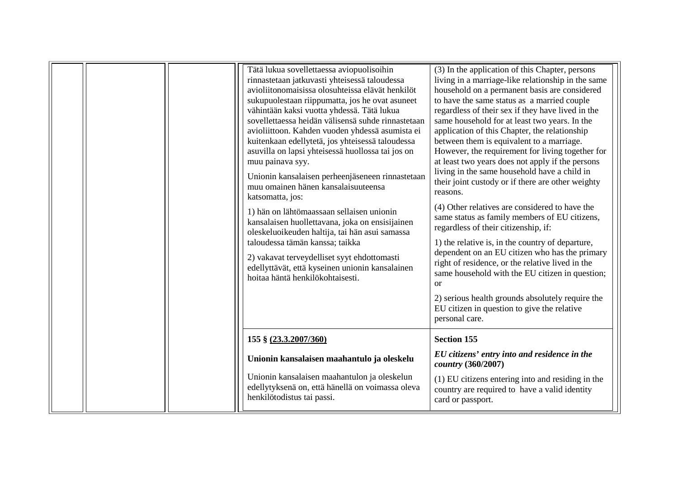| Tätä lukua sovellettaessa aviopuolisoihin<br>rinnastetaan jatkuvasti yhteisessä taloudessa<br>avioliitonomaisissa olosuhteissa elävät henkilöt<br>sukupuolestaan riippumatta, jos he ovat asuneet<br>vähintään kaksi vuotta yhdessä. Tätä lukua<br>sovellettaessa heidän välisensä suhde rinnastetaan<br>avioliittoon. Kahden vuoden yhdessä asumista ei<br>kuitenkaan edellytetä, jos yhteisessä taloudessa<br>asuvilla on lapsi yhteisessä huollossa tai jos on<br>muu painava syy.<br>Unionin kansalaisen perheenjäseneen rinnastetaan<br>muu omainen hänen kansalaisuuteensa<br>katsomatta, jos:<br>1) hän on lähtömaassaan sellaisen unionin<br>kansalaisen huollettavana, joka on ensisijainen<br>oleskeluoikeuden haltija, tai hän asui samassa<br>taloudessa tämän kanssa; taikka<br>2) vakavat terveydelliset syyt ehdottomasti<br>edellyttävät, että kyseinen unionin kansalainen<br>hoitaa häntä henkilökohtaisesti. | (3) In the application of this Chapter, persons<br>living in a marriage-like relationship in the same<br>household on a permanent basis are considered<br>to have the same status as a married couple<br>regardless of their sex if they have lived in the<br>same household for at least two years. In the<br>application of this Chapter, the relationship<br>between them is equivalent to a marriage.<br>However, the requirement for living together for<br>at least two years does not apply if the persons<br>living in the same household have a child in<br>their joint custody or if there are other weighty<br>reasons.<br>(4) Other relatives are considered to have the<br>same status as family members of EU citizens,<br>regardless of their citizenship, if:<br>1) the relative is, in the country of departure,<br>dependent on an EU citizen who has the primary<br>right of residence, or the relative lived in the<br>same household with the EU citizen in question;<br>or<br>2) serious health grounds absolutely require the<br>EU citizen in question to give the relative<br>personal care. |
|---------------------------------------------------------------------------------------------------------------------------------------------------------------------------------------------------------------------------------------------------------------------------------------------------------------------------------------------------------------------------------------------------------------------------------------------------------------------------------------------------------------------------------------------------------------------------------------------------------------------------------------------------------------------------------------------------------------------------------------------------------------------------------------------------------------------------------------------------------------------------------------------------------------------------------|-----------------------------------------------------------------------------------------------------------------------------------------------------------------------------------------------------------------------------------------------------------------------------------------------------------------------------------------------------------------------------------------------------------------------------------------------------------------------------------------------------------------------------------------------------------------------------------------------------------------------------------------------------------------------------------------------------------------------------------------------------------------------------------------------------------------------------------------------------------------------------------------------------------------------------------------------------------------------------------------------------------------------------------------------------------------------------------------------------------------------|
| 155 § (23.3.2007/360)                                                                                                                                                                                                                                                                                                                                                                                                                                                                                                                                                                                                                                                                                                                                                                                                                                                                                                           | <b>Section 155</b>                                                                                                                                                                                                                                                                                                                                                                                                                                                                                                                                                                                                                                                                                                                                                                                                                                                                                                                                                                                                                                                                                                    |
| Unionin kansalaisen maahantulo ja oleskelu                                                                                                                                                                                                                                                                                                                                                                                                                                                                                                                                                                                                                                                                                                                                                                                                                                                                                      | EU citizens' entry into and residence in the<br>country (360/2007)                                                                                                                                                                                                                                                                                                                                                                                                                                                                                                                                                                                                                                                                                                                                                                                                                                                                                                                                                                                                                                                    |
| Unionin kansalaisen maahantulon ja oleskelun<br>edellytyksenä on, että hänellä on voimassa oleva<br>henkilötodistus tai passi.                                                                                                                                                                                                                                                                                                                                                                                                                                                                                                                                                                                                                                                                                                                                                                                                  | (1) EU citizens entering into and residing in the<br>country are required to have a valid identity<br>card or passport.                                                                                                                                                                                                                                                                                                                                                                                                                                                                                                                                                                                                                                                                                                                                                                                                                                                                                                                                                                                               |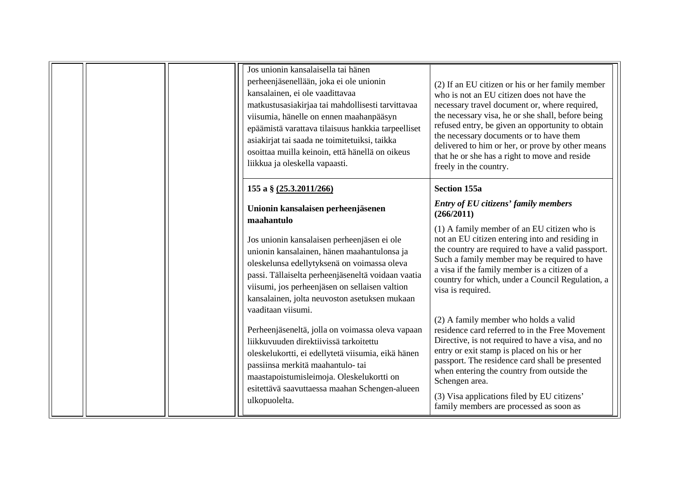|  | Jos unionin kansalaisella tai hänen<br>perheenjäsenellään, joka ei ole unionin<br>kansalainen, ei ole vaadittavaa<br>matkustusasiakirjaa tai mahdollisesti tarvittavaa<br>viisumia, hänelle on ennen maahanpääsyn<br>epäämistä varattava tilaisuus hankkia tarpeelliset<br>asiakirjat tai saada ne toimitetuiksi, taikka<br>osoittaa muilla keinoin, että hänellä on oikeus<br>liikkua ja oleskella vapaasti. | (2) If an EU citizen or his or her family member<br>who is not an EU citizen does not have the<br>necessary travel document or, where required,<br>the necessary visa, he or she shall, before being<br>refused entry, be given an opportunity to obtain<br>the necessary documents or to have them<br>delivered to him or her, or prove by other means<br>that he or she has a right to move and reside<br>freely in the country. |
|--|---------------------------------------------------------------------------------------------------------------------------------------------------------------------------------------------------------------------------------------------------------------------------------------------------------------------------------------------------------------------------------------------------------------|------------------------------------------------------------------------------------------------------------------------------------------------------------------------------------------------------------------------------------------------------------------------------------------------------------------------------------------------------------------------------------------------------------------------------------|
|  | 155 a § (25.3.2011/266)                                                                                                                                                                                                                                                                                                                                                                                       | <b>Section 155a</b>                                                                                                                                                                                                                                                                                                                                                                                                                |
|  | Unionin kansalaisen perheenjäsenen<br>maahantulo                                                                                                                                                                                                                                                                                                                                                              | <b>Entry of EU citizens' family members</b><br>(266/2011)                                                                                                                                                                                                                                                                                                                                                                          |
|  | Jos unionin kansalaisen perheenjäsen ei ole<br>unionin kansalainen, hänen maahantulonsa ja<br>oleskelunsa edellytyksenä on voimassa oleva<br>passi. Tällaiselta perheenjäseneltä voidaan vaatia<br>viisumi, jos perheenjäsen on sellaisen valtion<br>kansalainen, jolta neuvoston asetuksen mukaan<br>vaaditaan viisumi.                                                                                      | (1) A family member of an EU citizen who is<br>not an EU citizen entering into and residing in<br>the country are required to have a valid passport.<br>Such a family member may be required to have<br>a visa if the family member is a citizen of a<br>country for which, under a Council Regulation, a<br>visa is required.                                                                                                     |
|  | Perheenjäseneltä, jolla on voimassa oleva vapaan<br>liikkuvuuden direktiivissä tarkoitettu<br>oleskelukortti, ei edellytetä viisumia, eikä hänen<br>passiinsa merkitä maahantulo- tai<br>maastapoistumisleimoja. Oleskelukortti on<br>esitettävä saavuttaessa maahan Schengen-alueen<br>ulkopuolelta.                                                                                                         | (2) A family member who holds a valid<br>residence card referred to in the Free Movement<br>Directive, is not required to have a visa, and no<br>entry or exit stamp is placed on his or her<br>passport. The residence card shall be presented<br>when entering the country from outside the<br>Schengen area.<br>(3) Visa applications filed by EU citizens'<br>family members are processed as soon as                          |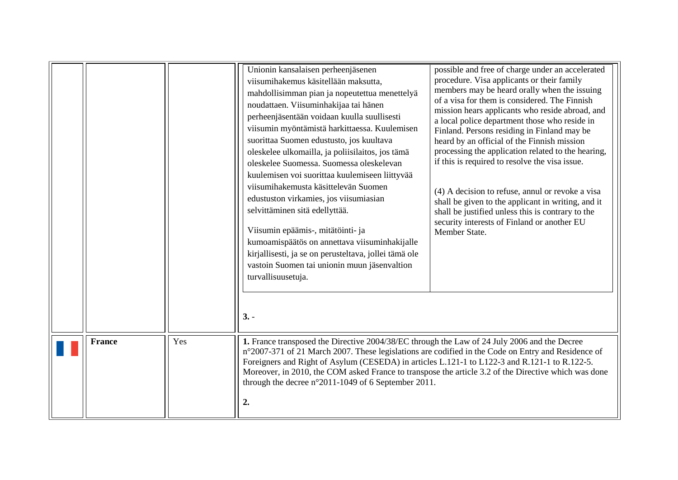<span id="page-12-0"></span>

|               |     | Unionin kansalaisen perheenjäsenen<br>viisumihakemus käsitellään maksutta,<br>mahdollisimman pian ja nopeutettua menettelyä<br>noudattaen. Viisuminhakijaa tai hänen<br>perheenjäsentään voidaan kuulla suullisesti<br>viisumin myöntämistä harkittaessa. Kuulemisen<br>suorittaa Suomen edustusto, jos kuultava<br>oleskelee ulkomailla, ja poliisilaitos, jos tämä<br>oleskelee Suomessa. Suomessa oleskelevan<br>kuulemisen voi suorittaa kuulemiseen liittyvää<br>viisumihakemusta käsittelevän Suomen<br>edustuston virkamies, jos viisumiasian<br>selvittäminen sitä edellyttää.<br>Viisumin epäämis-, mitätöinti- ja<br>kumoamispäätös on annettava viisuminhakijalle<br>kirjallisesti, ja se on perusteltava, jollei tämä ole<br>vastoin Suomen tai unionin muun jäsenvaltion<br>turvallisuusetuja. | possible and free of charge under an accelerated<br>procedure. Visa applicants or their family<br>members may be heard orally when the issuing<br>of a visa for them is considered. The Finnish<br>mission hears applicants who reside abroad, and<br>a local police department those who reside in<br>Finland. Persons residing in Finland may be<br>heard by an official of the Finnish mission<br>processing the application related to the hearing,<br>if this is required to resolve the visa issue.<br>(4) A decision to refuse, annul or revoke a visa<br>shall be given to the applicant in writing, and it<br>shall be justified unless this is contrary to the<br>security interests of Finland or another EU<br>Member State. |
|---------------|-----|-------------------------------------------------------------------------------------------------------------------------------------------------------------------------------------------------------------------------------------------------------------------------------------------------------------------------------------------------------------------------------------------------------------------------------------------------------------------------------------------------------------------------------------------------------------------------------------------------------------------------------------------------------------------------------------------------------------------------------------------------------------------------------------------------------------|------------------------------------------------------------------------------------------------------------------------------------------------------------------------------------------------------------------------------------------------------------------------------------------------------------------------------------------------------------------------------------------------------------------------------------------------------------------------------------------------------------------------------------------------------------------------------------------------------------------------------------------------------------------------------------------------------------------------------------------|
|               |     | $3. -$                                                                                                                                                                                                                                                                                                                                                                                                                                                                                                                                                                                                                                                                                                                                                                                                      |                                                                                                                                                                                                                                                                                                                                                                                                                                                                                                                                                                                                                                                                                                                                          |
| <b>France</b> | Yes | 1. France transposed the Directive 2004/38/EC through the Law of 24 July 2006 and the Decree<br>n°2007-371 of 21 March 2007. These legislations are codified in the Code on Entry and Residence of<br>Foreigners and Right of Asylum (CESEDA) in articles L.121-1 to L122-3 and R.121-1 to R.122-5.<br>Moreover, in 2010, the COM asked France to transpose the article 3.2 of the Directive which was done<br>through the decree n°2011-1049 of 6 September 2011.<br>2.                                                                                                                                                                                                                                                                                                                                    |                                                                                                                                                                                                                                                                                                                                                                                                                                                                                                                                                                                                                                                                                                                                          |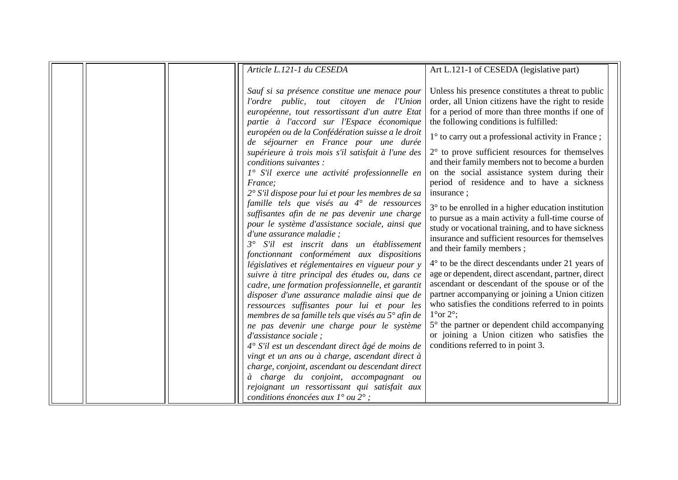|  | Article L.121-1 du CESEDA                                                                              | Art L.121-1 of CESEDA (legislative part)                                           |
|--|--------------------------------------------------------------------------------------------------------|------------------------------------------------------------------------------------|
|  |                                                                                                        |                                                                                    |
|  | Sauf si sa présence constitue une menace pour                                                          | Unless his presence constitutes a threat to public                                 |
|  | l'ordre public, tout citoyen de l'Union                                                                | order, all Union citizens have the right to reside                                 |
|  | européenne, tout ressortissant d'un autre Etat                                                         | for a period of more than three months if one of                                   |
|  | partie à l'accord sur l'Espace économique                                                              | the following conditions is fulfilled:                                             |
|  | européen ou de la Confédération suisse a le droit<br>de séjourner en France pour une durée             | $1^{\circ}$ to carry out a professional activity in France;                        |
|  | supérieure à trois mois s'il satisfait à l'une des                                                     | $2^{\circ}$ to prove sufficient resources for themselves                           |
|  | conditions suivantes :                                                                                 | and their family members not to become a burden                                    |
|  | 1° S'il exerce une activité professionnelle en                                                         | on the social assistance system during their                                       |
|  | France;                                                                                                | period of residence and to have a sickness                                         |
|  | 2° S'il dispose pour lui et pour les membres de sa<br>famille tels que visés au 4° de ressources       | insurance;                                                                         |
|  | suffisantes afin de ne pas devenir une charge                                                          | $3^\circ$ to be enrolled in a higher education institution                         |
|  | pour le système d'assistance sociale, ainsi que                                                        | to pursue as a main activity a full-time course of                                 |
|  | d'une assurance maladie;                                                                               | study or vocational training, and to have sickness                                 |
|  | S'il est inscrit dans un établissement                                                                 | insurance and sufficient resources for themselves                                  |
|  | fonctionnant conformément aux dispositions                                                             | and their family members;                                                          |
|  | législatives et réglementaires en vigueur pour y                                                       | $4^{\circ}$ to be the direct descendants under 21 years of                         |
|  | suivre à titre principal des études ou, dans ce                                                        | age or dependent, direct ascendant, partner, direct                                |
|  | cadre, une formation professionnelle, et garantit                                                      | ascendant or descendant of the spouse or of the                                    |
|  | disposer d'une assurance maladie ainsi que de                                                          | partner accompanying or joining a Union citizen                                    |
|  | ressources suffisantes pour lui et pour les                                                            | who satisfies the conditions referred to in points<br>$1^{\circ}$ or $2^{\circ}$ ; |
|  | membres de sa famille tels que visés au $5^\circ$ afin de<br>ne pas devenir une charge pour le système | 5° the partner or dependent child accompanying                                     |
|  | d'assistance sociale;                                                                                  | or joining a Union citizen who satisfies the                                       |
|  | 4° S'il est un descendant direct âgé de moins de                                                       | conditions referred to in point 3.                                                 |
|  | vingt et un ans ou à charge, ascendant direct à                                                        |                                                                                    |
|  | charge, conjoint, ascendant ou descendant direct                                                       |                                                                                    |
|  | à charge du conjoint, accompagnant ou                                                                  |                                                                                    |
|  | rejoignant un ressortissant qui satisfait aux                                                          |                                                                                    |
|  | conditions énoncées aux $1^{\circ}$ ou $2^{\circ}$ ;                                                   |                                                                                    |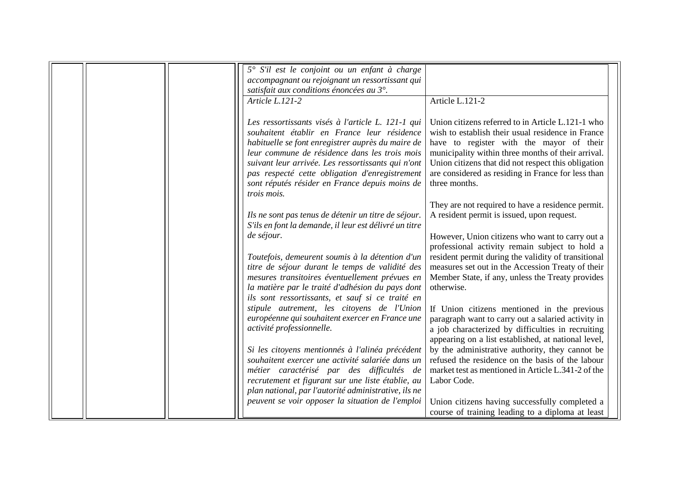| 5° S'il est le conjoint ou un enfant à charge<br>accompagnant ou rejoignant un ressortissant qui<br>satisfait aux conditions énoncées au 3°.<br>Article L.121-2<br>Les ressortissants visés à l'article L. 121-1 qui<br>souhaitent établir en France leur résidence<br>habituelle se font enregistrer auprès du maire de<br>leur commune de résidence dans les trois mois<br>suivant leur arrivée. Les ressortissants qui n'ont<br>pas respecté cette obligation d'enregistrement<br>sont réputés résider en France depuis moins de<br>trois mois. | Article L.121-2<br>Union citizens referred to in Article L.121-1 who<br>wish to establish their usual residence in France<br>have to register with the mayor of their<br>municipality within three months of their arrival.<br>Union citizens that did not respect this obligation<br>are considered as residing in France for less than<br>three months.<br>They are not required to have a residence permit. |
|----------------------------------------------------------------------------------------------------------------------------------------------------------------------------------------------------------------------------------------------------------------------------------------------------------------------------------------------------------------------------------------------------------------------------------------------------------------------------------------------------------------------------------------------------|----------------------------------------------------------------------------------------------------------------------------------------------------------------------------------------------------------------------------------------------------------------------------------------------------------------------------------------------------------------------------------------------------------------|
|                                                                                                                                                                                                                                                                                                                                                                                                                                                                                                                                                    |                                                                                                                                                                                                                                                                                                                                                                                                                |
|                                                                                                                                                                                                                                                                                                                                                                                                                                                                                                                                                    |                                                                                                                                                                                                                                                                                                                                                                                                                |
| Ils ne sont pas tenus de détenir un titre de séjour.<br>S'ils en font la demande, il leur est délivré un titre                                                                                                                                                                                                                                                                                                                                                                                                                                     | A resident permit is issued, upon request.                                                                                                                                                                                                                                                                                                                                                                     |
| de séjour.<br>Toutefois, demeurent soumis à la détention d'un                                                                                                                                                                                                                                                                                                                                                                                                                                                                                      | However, Union citizens who want to carry out a<br>professional activity remain subject to hold a<br>resident permit during the validity of transitional                                                                                                                                                                                                                                                       |
| titre de séjour durant le temps de validité des<br>mesures transitoires éventuellement prévues en<br>la matière par le traité d'adhésion du pays dont<br>ils sont ressortissants, et sauf si ce traité en                                                                                                                                                                                                                                                                                                                                          | measures set out in the Accession Treaty of their<br>Member State, if any, unless the Treaty provides<br>otherwise.                                                                                                                                                                                                                                                                                            |
| stipule autrement, les citoyens de l'Union<br>européenne qui souhaitent exercer en France une<br>activité professionnelle.                                                                                                                                                                                                                                                                                                                                                                                                                         | If Union citizens mentioned in the previous<br>paragraph want to carry out a salaried activity in<br>a job characterized by difficulties in recruiting<br>appearing on a list established, at national level,                                                                                                                                                                                                  |
| Si les citoyens mentionnés à l'alinéa précédent<br>souhaitent exercer une activité salariée dans un<br>métier caractérisé par des difficultés de                                                                                                                                                                                                                                                                                                                                                                                                   | by the administrative authority, they cannot be<br>refused the residence on the basis of the labour<br>market test as mentioned in Article L.341-2 of the                                                                                                                                                                                                                                                      |
| recrutement et figurant sur une liste établie, au<br>plan national, par l'autorité administrative, ils ne                                                                                                                                                                                                                                                                                                                                                                                                                                          | Labor Code.                                                                                                                                                                                                                                                                                                                                                                                                    |
| peuvent se voir opposer la situation de l'emploi                                                                                                                                                                                                                                                                                                                                                                                                                                                                                                   | Union citizens having successfully completed a<br>course of training leading to a diploma at least                                                                                                                                                                                                                                                                                                             |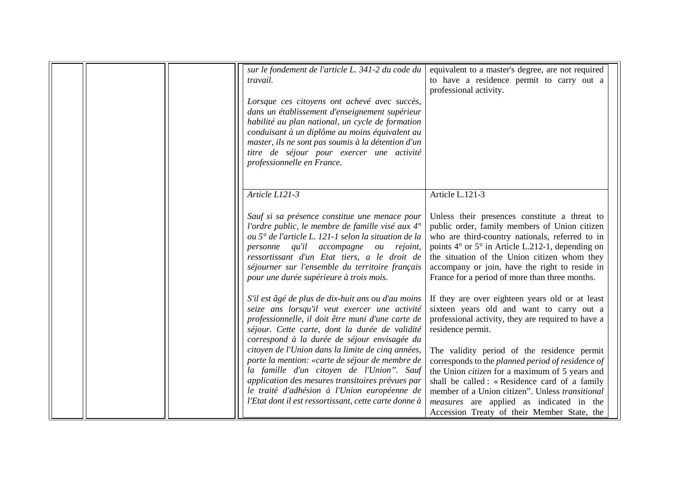|  | sur le fondement de l'article L. 341-2 du code du<br>travail.<br>Lorsque ces citoyens ont achevé avec succès,<br>dans un établissement d'enseignement supérieur<br>habilité au plan national, un cycle de formation<br>conduisant à un diplôme au moins équivalent au<br>master, ils ne sont pas soumis à la détention d'un<br>titre de séjour pour exercer une activité<br>professionnelle en France.                                                                                                                                                                       | equivalent to a master's degree, are not required<br>to have a residence permit to carry out a<br>professional activity.                                                                                                                                                                                                                                                                                                                                                                                                                  |
|--|------------------------------------------------------------------------------------------------------------------------------------------------------------------------------------------------------------------------------------------------------------------------------------------------------------------------------------------------------------------------------------------------------------------------------------------------------------------------------------------------------------------------------------------------------------------------------|-------------------------------------------------------------------------------------------------------------------------------------------------------------------------------------------------------------------------------------------------------------------------------------------------------------------------------------------------------------------------------------------------------------------------------------------------------------------------------------------------------------------------------------------|
|  | Article L121-3<br>Sauf si sa présence constitue une menace pour<br>l'ordre public, le membre de famille visé aux $4^\circ$<br>ou 5° de l'article L. 121-1 selon la situation de la<br>personne qu'il accompagne ou rejoint,<br>ressortissant d'un Etat tiers, a le droit de<br>séjourner sur l'ensemble du territoire français<br>pour une durée supérieure à trois mois.                                                                                                                                                                                                    | Article L.121-3<br>Unless their presences constitute a threat to<br>public order, family members of Union citizen<br>who are third-country nationals, referred to in<br>points $4^{\circ}$ or $5^{\circ}$ in Article L.212-1, depending on<br>the situation of the Union citizen whom they<br>accompany or join, have the right to reside in<br>France for a period of more than three months.                                                                                                                                            |
|  | S'il est âgé de plus de dix-huit ans ou d'au moins<br>seize ans lorsqu'il veut exercer une activité<br>professionnelle, il doit être muni d'une carte de<br>séjour. Cette carte, dont la durée de validité<br>correspond à la durée de séjour envisagée du<br>citoyen de l'Union dans la limite de cinq années,<br>porte la mention: «carte de séjour de membre de<br>la famille d'un citoyen de l'Union". Sauf<br>application des mesures transitoires prévues par<br>le traité d'adhésion à l'Union européenne de<br>l'Etat dont il est ressortissant, cette carte donne à | If they are over eighteen years old or at least<br>sixteen years old and want to carry out a<br>professional activity, they are required to have a<br>residence permit.<br>The validity period of the residence permit<br>corresponds to the planned period of residence of<br>the Union <i>citizen</i> for a maximum of 5 years and<br>shall be called: «Residence card of a family<br>member of a Union citizen". Unless transitional<br><i>measures</i> are applied as indicated in the<br>Accession Treaty of their Member State, the |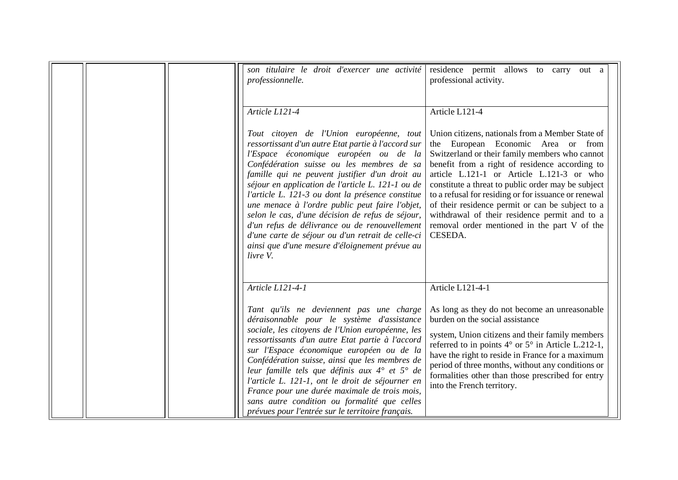|  | son titulaire le droit d'exercer une activité<br>professionnelle.<br>Article L121-4                                                                                                                                                                                                                                                                                                                                                                                                                                                                                                                                         | residence permit allows to carry<br>out a<br>professional activity.<br>Article L121-4                                                                                                                                                                                                                                                                                                                                                                                                                                 |
|--|-----------------------------------------------------------------------------------------------------------------------------------------------------------------------------------------------------------------------------------------------------------------------------------------------------------------------------------------------------------------------------------------------------------------------------------------------------------------------------------------------------------------------------------------------------------------------------------------------------------------------------|-----------------------------------------------------------------------------------------------------------------------------------------------------------------------------------------------------------------------------------------------------------------------------------------------------------------------------------------------------------------------------------------------------------------------------------------------------------------------------------------------------------------------|
|  | Tout citoyen de l'Union européenne, tout<br>ressortissant d'un autre Etat partie à l'accord sur<br>l'Espace économique européen ou de la<br>Confédération suisse ou les membres de sa<br>famille qui ne peuvent justifier d'un droit au<br>séjour en application de l'article L. 121-1 ou de<br>l'article L. 121-3 ou dont la présence constitue<br>une menace à l'ordre public peut faire l'objet,<br>selon le cas, d'une décision de refus de séjour,<br>d'un refus de délivrance ou de renouvellement<br>d'une carte de séjour ou d'un retrait de celle-ci<br>ainsi que d'une mesure d'éloignement prévue au<br>livre V. | Union citizens, nationals from a Member State of<br>the European Economic Area or from<br>Switzerland or their family members who cannot<br>benefit from a right of residence according to<br>article L.121-1 or Article L.121-3 or who<br>constitute a threat to public order may be subject<br>to a refusal for residing or for issuance or renewal<br>of their residence permit or can be subject to a<br>withdrawal of their residence permit and to a<br>removal order mentioned in the part V of the<br>CESEDA. |
|  | Article L121-4-1                                                                                                                                                                                                                                                                                                                                                                                                                                                                                                                                                                                                            | Article L121-4-1                                                                                                                                                                                                                                                                                                                                                                                                                                                                                                      |
|  | Tant qu'ils ne deviennent pas une charge<br>déraisonnable pour le système d'assistance<br>sociale, les citoyens de l'Union européenne, les<br>ressortissants d'un autre Etat partie à l'accord<br>sur l'Espace économique européen ou de la<br>Confédération suisse, ainsi que les membres de<br>leur famille tels que définis aux 4° et 5° de<br>l'article L. 121-1, ont le droit de séjourner en<br>France pour une durée maximale de trois mois,<br>sans autre condition ou formalité que celles<br>prévues pour l'entrée sur le territoire français.                                                                    | As long as they do not become an unreasonable<br>burden on the social assistance<br>system, Union citizens and their family members<br>referred to in points $4^{\circ}$ or $5^{\circ}$ in Article L.212-1,<br>have the right to reside in France for a maximum<br>period of three months, without any conditions or<br>formalities other than those prescribed for entry<br>into the French territory.                                                                                                               |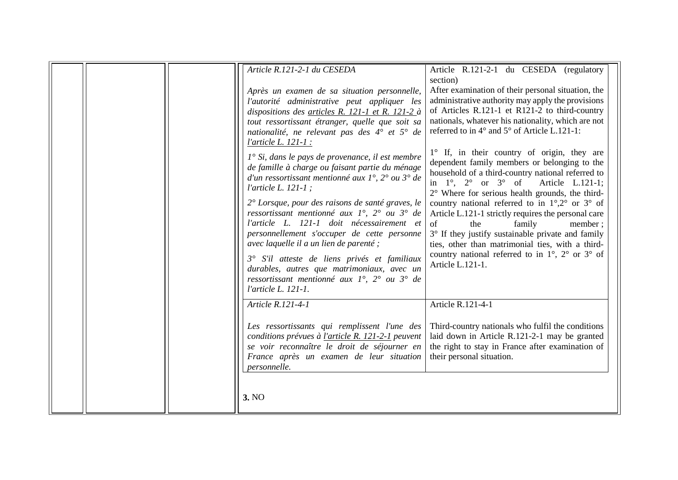| Article R.121-2-1 du CESEDA                                                                                                                                                                                                                                                                                                                                                                                                                                                                                                                                                                                                                                                                                                                                                                                                                                                                                                                                         | Article R.121-2-1 du CESEDA (regulatory                                                                                                                                                                                                                                                                                                                                                                                                                                                                                                                                                                                                                                                                                                                                                                                                                                                                                                           |
|---------------------------------------------------------------------------------------------------------------------------------------------------------------------------------------------------------------------------------------------------------------------------------------------------------------------------------------------------------------------------------------------------------------------------------------------------------------------------------------------------------------------------------------------------------------------------------------------------------------------------------------------------------------------------------------------------------------------------------------------------------------------------------------------------------------------------------------------------------------------------------------------------------------------------------------------------------------------|---------------------------------------------------------------------------------------------------------------------------------------------------------------------------------------------------------------------------------------------------------------------------------------------------------------------------------------------------------------------------------------------------------------------------------------------------------------------------------------------------------------------------------------------------------------------------------------------------------------------------------------------------------------------------------------------------------------------------------------------------------------------------------------------------------------------------------------------------------------------------------------------------------------------------------------------------|
| Après un examen de sa situation personnelle,<br>l'autorité administrative peut appliquer les<br>dispositions des articles R. 121-1 et R. 121-2 à<br>tout ressortissant étranger, quelle que soit sa<br>nationalité, ne relevant pas des 4° et 5° de<br><i>l'article L. 121-1 :</i><br>$1^\circ$ Si, dans le pays de provenance, il est membre<br>de famille à charge ou faisant partie du ménage<br>d'un ressortissant mentionné aux $1^\circ$ , $2^\circ$ ou $3^\circ$ de<br>l'article L. 121-1 ;<br>2° Lorsque, pour des raisons de santé graves, le<br>ressortissant mentionné aux $1^\circ$ , $2^\circ$ ou $3^\circ$ de<br>l'article L. 121-1 doit nécessairement et<br>personnellement s'occuper de cette personne<br>avec laquelle il a un lien de parenté ;<br>3° S'il atteste de liens privés et familiaux<br>durables, autres que matrimoniaux, avec un<br>ressortissant mentionné aux $1^\circ$ , $2^\circ$ ou $3^\circ$ de<br><i>l'article L. 121-1.</i> | section)<br>After examination of their personal situation, the<br>administrative authority may apply the provisions<br>of Articles R.121-1 et R121-2 to third-country<br>nationals, whatever his nationality, which are not<br>referred to in $4^{\circ}$ and $5^{\circ}$ of Article L.121-1:<br>1° If, in their country of origin, they are<br>dependent family members or belonging to the<br>household of a third-country national referred to<br>in $1^\circ$ , $2^\circ$ or $3^\circ$ of Article L.121-1;<br>2° Where for serious health grounds, the third-<br>country national referred to in $1^{\circ},2^{\circ}$ or $3^{\circ}$ of<br>Article L.121-1 strictly requires the personal care<br>family<br>of<br>the<br>member;<br>3° If they justify sustainable private and family<br>ties, other than matrimonial ties, with a third-<br>country national referred to in $1^{\circ}$ , $2^{\circ}$ or $3^{\circ}$ of<br>Article L.121-1. |
| Article R.121-4-1                                                                                                                                                                                                                                                                                                                                                                                                                                                                                                                                                                                                                                                                                                                                                                                                                                                                                                                                                   | Article R.121-4-1                                                                                                                                                                                                                                                                                                                                                                                                                                                                                                                                                                                                                                                                                                                                                                                                                                                                                                                                 |
| Les ressortissants qui remplissent l'une des<br>conditions prévues à <i>l'article R. 121-2-1</i> peuvent<br>se voir reconnaître le droit de séjourner en<br>France après un examen de leur situation<br>personnelle.                                                                                                                                                                                                                                                                                                                                                                                                                                                                                                                                                                                                                                                                                                                                                | Third-country nationals who fulfil the conditions<br>laid down in Article R.121-2-1 may be granted<br>the right to stay in France after examination of<br>their personal situation.                                                                                                                                                                                                                                                                                                                                                                                                                                                                                                                                                                                                                                                                                                                                                               |
| 3. NO                                                                                                                                                                                                                                                                                                                                                                                                                                                                                                                                                                                                                                                                                                                                                                                                                                                                                                                                                               |                                                                                                                                                                                                                                                                                                                                                                                                                                                                                                                                                                                                                                                                                                                                                                                                                                                                                                                                                   |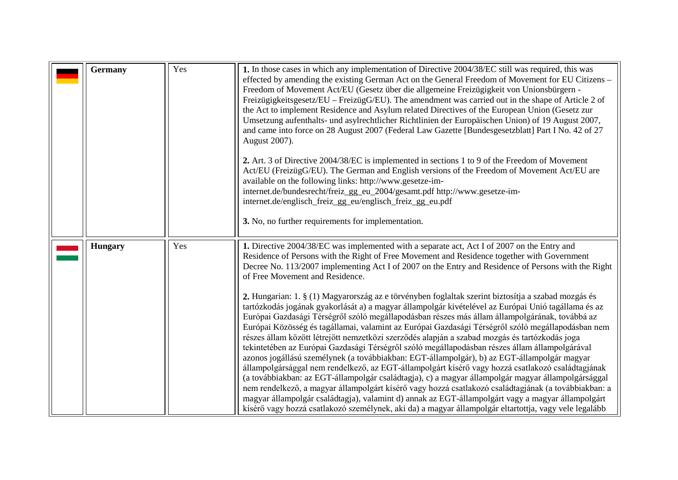<span id="page-18-1"></span><span id="page-18-0"></span>

| <b>Germany</b> | Yes | 1. In those cases in which any implementation of Directive 2004/38/EC still was required, this was<br>effected by amending the existing German Act on the General Freedom of Movement for EU Citizens –<br>Freedom of Movement Act/EU (Gesetz über die allgemeine Freizügigkeit von Unionsbürgern -<br>Freizügigkeitsgesetz/EU – FreizügG/EU). The amendment was carried out in the shape of Article 2 of<br>the Act to implement Residence and Asylum related Directives of the European Union (Gesetz zur<br>Umsetzung aufenthalts- und asylrechtlicher Richtlinien der Europäischen Union) of 19 August 2007,<br>and came into force on 28 August 2007 (Federal Law Gazette [Bundesgesetzblatt] Part I No. 42 of 27<br>August 2007).<br>2. Art. 3 of Directive 2004/38/EC is implemented in sections 1 to 9 of the Freedom of Movement<br>Act/EU (FreizügG/EU). The German and English versions of the Freedom of Movement Act/EU are<br>available on the following links: http://www.gesetze-im-<br>internet.de/bundesrecht/freiz_gg_eu_2004/gesamt.pdf http://www.gesetze-im-<br>internet.de/englisch_freiz_gg_eu/englisch_freiz_gg_eu.pdf<br>3. No, no further requirements for implementation.                                                                                                                                                                                                                                                                                                                                                                                         |
|----------------|-----|-----------------------------------------------------------------------------------------------------------------------------------------------------------------------------------------------------------------------------------------------------------------------------------------------------------------------------------------------------------------------------------------------------------------------------------------------------------------------------------------------------------------------------------------------------------------------------------------------------------------------------------------------------------------------------------------------------------------------------------------------------------------------------------------------------------------------------------------------------------------------------------------------------------------------------------------------------------------------------------------------------------------------------------------------------------------------------------------------------------------------------------------------------------------------------------------------------------------------------------------------------------------------------------------------------------------------------------------------------------------------------------------------------------------------------------------------------------------------------------------------------------------------------------------------------------------------------------------------|
| <b>Hungary</b> | Yes | 1. Directive 2004/38/EC was implemented with a separate act, Act I of 2007 on the Entry and<br>Residence of Persons with the Right of Free Movement and Residence together with Government<br>Decree No. 113/2007 implementing Act I of 2007 on the Entry and Residence of Persons with the Right<br>of Free Movement and Residence.<br>2. Hungarian: 1. § (1) Magyarország az e törvényben foglaltak szerint biztosítja a szabad mozgás és<br>tartózkodás jogának gyakorlását a) a magyar állampolgár kivételével az Európai Unió tagállama és az<br>Európai Gazdasági Térségről szóló megállapodásban részes más állam állampolgárának, továbbá az<br>Európai Közösség és tagállamai, valamint az Európai Gazdasági Térségről szóló megállapodásban nem<br>részes állam között létrejött nemzetközi szerződés alapján a szabad mozgás és tartózkodás joga<br>tekintetében az Európai Gazdasági Térségről szóló megállapodásban részes állam állampolgárával<br>azonos jogállású személynek (a továbbiakban: EGT-állampolgár), b) az EGT-állampolgár magyar<br>állampolgársággal nem rendelkező, az EGT-állampolgárt kísérő vagy hozzá csatlakozó családtagjának<br>(a továbbiakban: az EGT-állampolgár családtagja), c) a magyar állampolgár magyar állampolgársággal<br>nem rendelkező, a magyar állampolgárt kísérő vagy hozzá csatlakozó családtagjának (a továbbiakban: a<br>magyar állampolgár családtagja), valamint d) annak az EGT-állampolgárt vagy a magyar állampolgárt<br>kísérő vagy hozzá csatlakozó személynek, aki da) a magyar állampolgár eltartottja, vagy vele legalább |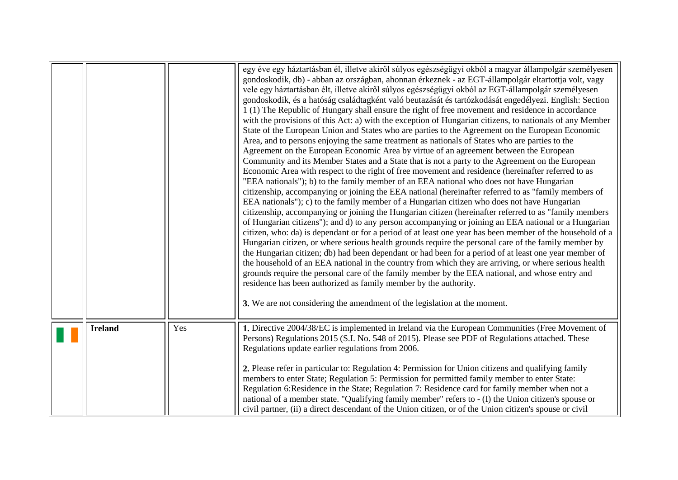<span id="page-19-0"></span>

|                |     | egy éve egy háztartásban él, illetve akiről súlyos egészségügyi okból a magyar állampolgár személyesen<br>gondoskodik, db) - abban az országban, ahonnan érkeznek - az EGT-állampolgár eltartottja volt, vagy<br>vele egy háztartásban élt, illetve akiről súlyos egészségügyi okból az EGT-állampolgár személyesen<br>gondoskodik, és a hatóság családtagként való beutazását és tartózkodását engedélyezi. English: Section<br>1 (1) The Republic of Hungary shall ensure the right of free movement and residence in accordance<br>with the provisions of this Act: a) with the exception of Hungarian citizens, to nationals of any Member<br>State of the European Union and States who are parties to the Agreement on the European Economic<br>Area, and to persons enjoying the same treatment as nationals of States who are parties to the<br>Agreement on the European Economic Area by virtue of an agreement between the European<br>Community and its Member States and a State that is not a party to the Agreement on the European<br>Economic Area with respect to the right of free movement and residence (hereinafter referred to as<br>"EEA nationals"); b) to the family member of an EEA national who does not have Hungarian<br>citizenship, accompanying or joining the EEA national (hereinafter referred to as "family members of<br>EEA nationals"); c) to the family member of a Hungarian citizen who does not have Hungarian<br>citizenship, accompanying or joining the Hungarian citizen (hereinafter referred to as "family members<br>of Hungarian citizens"); and d) to any person accompanying or joining an EEA national or a Hungarian<br>citizen, who: da) is dependant or for a period of at least one year has been member of the household of a<br>Hungarian citizen, or where serious health grounds require the personal care of the family member by<br>the Hungarian citizen; db) had been dependant or had been for a period of at least one year member of<br>the household of an EEA national in the country from which they are arriving, or where serious health<br>grounds require the personal care of the family member by the EEA national, and whose entry and<br>residence has been authorized as family member by the authority.<br>3. We are not considering the amendment of the legislation at the moment. |
|----------------|-----|--------------------------------------------------------------------------------------------------------------------------------------------------------------------------------------------------------------------------------------------------------------------------------------------------------------------------------------------------------------------------------------------------------------------------------------------------------------------------------------------------------------------------------------------------------------------------------------------------------------------------------------------------------------------------------------------------------------------------------------------------------------------------------------------------------------------------------------------------------------------------------------------------------------------------------------------------------------------------------------------------------------------------------------------------------------------------------------------------------------------------------------------------------------------------------------------------------------------------------------------------------------------------------------------------------------------------------------------------------------------------------------------------------------------------------------------------------------------------------------------------------------------------------------------------------------------------------------------------------------------------------------------------------------------------------------------------------------------------------------------------------------------------------------------------------------------------------------------------------------------------------------------------------------------------------------------------------------------------------------------------------------------------------------------------------------------------------------------------------------------------------------------------------------------------------------------------------------------------------------------------------------------------------------------------------------------------------------------------------------------------|
| <b>Ireland</b> | Yes | 1. Directive 2004/38/EC is implemented in Ireland via the European Communities (Free Movement of<br>Persons) Regulations 2015 (S.I. No. 548 of 2015). Please see PDF of Regulations attached. These<br>Regulations update earlier regulations from 2006.<br>2. Please refer in particular to: Regulation 4: Permission for Union citizens and qualifying family<br>members to enter State; Regulation 5: Permission for permitted family member to enter State:<br>Regulation 6: Residence in the State; Regulation 7: Residence card for family member when not a<br>national of a member state. "Qualifying family member" refers to - (I) the Union citizen's spouse or<br>civil partner, (ii) a direct descendant of the Union citizen, or of the Union citizen's spouse or civil                                                                                                                                                                                                                                                                                                                                                                                                                                                                                                                                                                                                                                                                                                                                                                                                                                                                                                                                                                                                                                                                                                                                                                                                                                                                                                                                                                                                                                                                                                                                                                                    |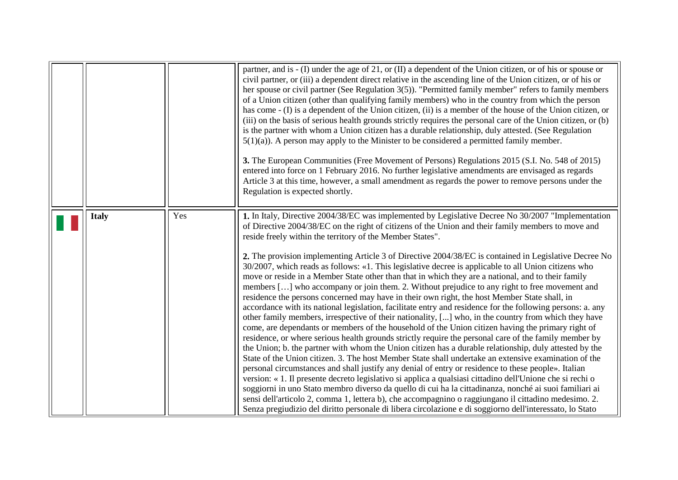<span id="page-20-0"></span>

|              |     | partner, and is - (I) under the age of 21, or (II) a dependent of the Union citizen, or of his or spouse or<br>civil partner, or (iii) a dependent direct relative in the ascending line of the Union citizen, or of his or<br>her spouse or civil partner (See Regulation $3(5)$ ). "Permitted family member" refers to family members<br>of a Union citizen (other than qualifying family members) who in the country from which the person<br>has come - (I) is a dependent of the Union citizen, (ii) is a member of the house of the Union citizen, or<br>(iii) on the basis of serious health grounds strictly requires the personal care of the Union citizen, or (b)<br>is the partner with whom a Union citizen has a durable relationship, duly attested. (See Regulation<br>$5(1)(a)$ ). A person may apply to the Minister to be considered a permitted family member.<br>3. The European Communities (Free Movement of Persons) Regulations 2015 (S.I. No. 548 of 2015)<br>entered into force on 1 February 2016. No further legislative amendments are envisaged as regards<br>Article 3 at this time, however, a small amendment as regards the power to remove persons under the<br>Regulation is expected shortly.                                                                                                                                                                                                                                                                                                                                                                                                                                                                                                                                                                                                                                                                                                                                                                   |
|--------------|-----|-------------------------------------------------------------------------------------------------------------------------------------------------------------------------------------------------------------------------------------------------------------------------------------------------------------------------------------------------------------------------------------------------------------------------------------------------------------------------------------------------------------------------------------------------------------------------------------------------------------------------------------------------------------------------------------------------------------------------------------------------------------------------------------------------------------------------------------------------------------------------------------------------------------------------------------------------------------------------------------------------------------------------------------------------------------------------------------------------------------------------------------------------------------------------------------------------------------------------------------------------------------------------------------------------------------------------------------------------------------------------------------------------------------------------------------------------------------------------------------------------------------------------------------------------------------------------------------------------------------------------------------------------------------------------------------------------------------------------------------------------------------------------------------------------------------------------------------------------------------------------------------------------------------------------------------------------------------------------------------------------------|
| <b>Italy</b> | Yes | 1. In Italy, Directive 2004/38/EC was implemented by Legislative Decree No 30/2007 "Implementation<br>of Directive 2004/38/EC on the right of citizens of the Union and their family members to move and<br>reside freely within the territory of the Member States".<br>2. The provision implementing Article 3 of Directive 2004/38/EC is contained in Legislative Decree No<br>30/2007, which reads as follows: «1. This legislative decree is applicable to all Union citizens who<br>move or reside in a Member State other than that in which they are a national, and to their family<br>members [] who accompany or join them. 2. Without prejudice to any right to free movement and<br>residence the persons concerned may have in their own right, the host Member State shall, in<br>accordance with its national legislation, facilitate entry and residence for the following persons: a. any<br>other family members, irrespective of their nationality, [] who, in the country from which they have<br>come, are dependants or members of the household of the Union citizen having the primary right of<br>residence, or where serious health grounds strictly require the personal care of the family member by<br>the Union; b. the partner with whom the Union citizen has a durable relationship, duly attested by the<br>State of the Union citizen. 3. The host Member State shall undertake an extensive examination of the<br>personal circumstances and shall justify any denial of entry or residence to these people». Italian<br>version: « 1. Il presente decreto legislativo si applica a qualsiasi cittadino dell'Unione che si rechi o<br>soggiorni in uno Stato membro diverso da quello di cui ha la cittadinanza, nonché ai suoi familiari ai<br>sensi dell'articolo 2, comma 1, lettera b), che accompagnino o raggiungano il cittadino medesimo. 2.<br>Senza pregiudizio del diritto personale di libera circolazione e di soggiorno dell'interessato, lo Stato |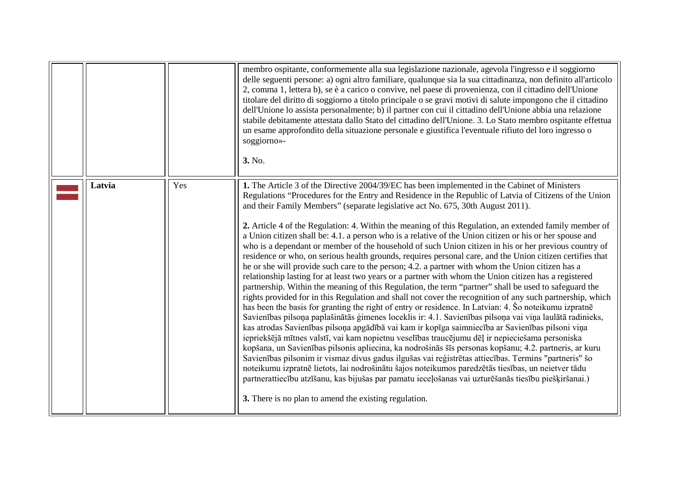<span id="page-21-0"></span>

|        |     | membro ospitante, conformemente alla sua legislazione nazionale, agevola l'ingresso e il soggiorno<br>delle seguenti persone: a) ogni altro familiare, qualunque sia la sua cittadinanza, non definito all'articolo<br>2, comma 1, lettera b), se è a carico o convive, nel paese di provenienza, con il cittadino dell'Unione<br>titolare del diritto di soggiorno a titolo principale o se gravi motivi di salute impongono che il cittadino<br>dell'Unione lo assista personalmente; b) il partner con cui il cittadino dell'Unione abbia una relazione<br>stabile debitamente attestata dallo Stato del cittadino dell'Unione. 3. Lo Stato membro ospitante effettua<br>un esame approfondito della situazione personale e giustifica l'eventuale rifiuto del loro ingresso o<br>soggiorno»-<br>3. No.                                                                                                                                                                                                                                                                                                                                                                                                                                                                                                                                                                                                                                                                                                                                                                                                                                                                                                                                                                                                                                                                                                                                                                                                                                                                                    |
|--------|-----|-----------------------------------------------------------------------------------------------------------------------------------------------------------------------------------------------------------------------------------------------------------------------------------------------------------------------------------------------------------------------------------------------------------------------------------------------------------------------------------------------------------------------------------------------------------------------------------------------------------------------------------------------------------------------------------------------------------------------------------------------------------------------------------------------------------------------------------------------------------------------------------------------------------------------------------------------------------------------------------------------------------------------------------------------------------------------------------------------------------------------------------------------------------------------------------------------------------------------------------------------------------------------------------------------------------------------------------------------------------------------------------------------------------------------------------------------------------------------------------------------------------------------------------------------------------------------------------------------------------------------------------------------------------------------------------------------------------------------------------------------------------------------------------------------------------------------------------------------------------------------------------------------------------------------------------------------------------------------------------------------------------------------------------------------------------------------------------------------|
| Latvia | Yes | 1. The Article 3 of the Directive 2004/39/EC has been implemented in the Cabinet of Ministers<br>Regulations "Procedures for the Entry and Residence in the Republic of Latvia of Citizens of the Union<br>and their Family Members" (separate legislative act No. 675, 30th August 2011).<br>2. Article 4 of the Regulation: 4. Within the meaning of this Regulation, an extended family member of<br>a Union citizen shall be: 4.1. a person who is a relative of the Union citizen or his or her spouse and<br>who is a dependant or member of the household of such Union citizen in his or her previous country of<br>residence or who, on serious health grounds, requires personal care, and the Union citizen certifies that<br>he or she will provide such care to the person; 4.2. a partner with whom the Union citizen has a<br>relationship lasting for at least two years or a partner with whom the Union citizen has a registered<br>partnership. Within the meaning of this Regulation, the term "partner" shall be used to safeguard the<br>rights provided for in this Regulation and shall not cover the recognition of any such partnership, which<br>has been the basis for granting the right of entry or residence. In Latvian: 4. So noteikumu izpratne<br>Savienības pilsoņa paplašinātās ģimenes loceklis ir: 4.1. Savienības pilsoņa vai viņa laulātā radinieks,<br>kas atrodas Savienības pilsoņa apgādībā vai kam ir kopīga saimniecība ar Savienības pilsoni viņa<br>iepriekšējā mītnes valstī, vai kam nopietnu veselības traucējumu dēļ ir nepieciešama personiska<br>kopšana, un Savienības pilsonis apliecina, ka nodrošinās šīs personas kopšanu; 4.2. partneris, ar kuru<br>Savienības pilsonim ir vismaz divus gadus ilgušas vai reģistrētas attiecības. Termins "partneris" šo<br>noteikumu izpratnē lietots, lai nodrošinātu šajos noteikumos paredzētās tiesības, un neietver tādu<br>partnerattiecību atzīšanu, kas bijušas par pamatu ieceļošanas vai uzturēšanās tiesību piešķiršanai.)<br>3. There is no plan to amend the existing regulation. |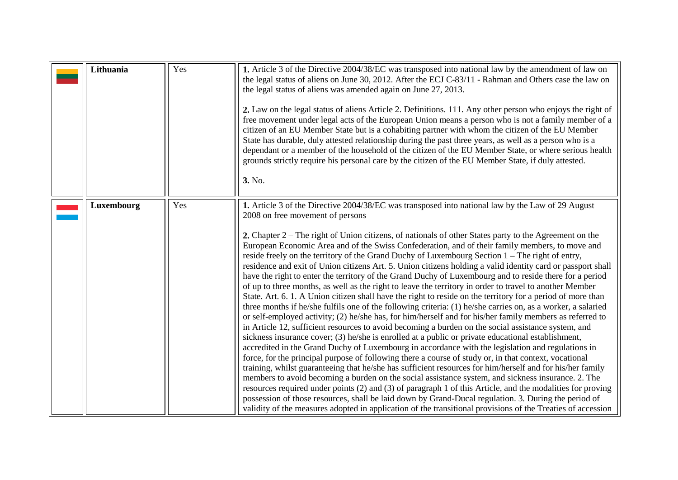<span id="page-22-1"></span><span id="page-22-0"></span>

| Lithuania  | Yes | 1. Article 3 of the Directive 2004/38/EC was transposed into national law by the amendment of law on<br>the legal status of aliens on June 30, 2012. After the ECJ C-83/11 - Rahman and Others case the law on<br>the legal status of aliens was amended again on June 27, 2013.<br>2. Law on the legal status of aliens Article 2. Definitions. 111. Any other person who enjoys the right of<br>free movement under legal acts of the European Union means a person who is not a family member of a<br>citizen of an EU Member State but is a cohabiting partner with whom the citizen of the EU Member<br>State has durable, duly attested relationship during the past three years, as well as a person who is a<br>dependant or a member of the household of the citizen of the EU Member State, or where serious health<br>grounds strictly require his personal care by the citizen of the EU Member State, if duly attested.<br>3. No.                                                                                                                                                                                                                                                                                                                                                                                                                                                                                                                                                                                                                                                                                                                                                                                                                                                                                                                                                                                                                                                                                                                                                                           |
|------------|-----|--------------------------------------------------------------------------------------------------------------------------------------------------------------------------------------------------------------------------------------------------------------------------------------------------------------------------------------------------------------------------------------------------------------------------------------------------------------------------------------------------------------------------------------------------------------------------------------------------------------------------------------------------------------------------------------------------------------------------------------------------------------------------------------------------------------------------------------------------------------------------------------------------------------------------------------------------------------------------------------------------------------------------------------------------------------------------------------------------------------------------------------------------------------------------------------------------------------------------------------------------------------------------------------------------------------------------------------------------------------------------------------------------------------------------------------------------------------------------------------------------------------------------------------------------------------------------------------------------------------------------------------------------------------------------------------------------------------------------------------------------------------------------------------------------------------------------------------------------------------------------------------------------------------------------------------------------------------------------------------------------------------------------------------------------------------------------------------------------------------------------|
| Luxembourg | Yes | 1. Article 3 of the Directive 2004/38/EC was transposed into national law by the Law of 29 August<br>2008 on free movement of persons<br>2. Chapter 2 – The right of Union citizens, of nationals of other States party to the Agreement on the<br>European Economic Area and of the Swiss Confederation, and of their family members, to move and<br>reside freely on the territory of the Grand Duchy of Luxembourg Section 1 – The right of entry,<br>residence and exit of Union citizens Art. 5. Union citizens holding a valid identity card or passport shall<br>have the right to enter the territory of the Grand Duchy of Luxembourg and to reside there for a period<br>of up to three months, as well as the right to leave the territory in order to travel to another Member<br>State. Art. 6. 1. A Union citizen shall have the right to reside on the territory for a period of more than<br>three months if he/she fulfils one of the following criteria: (1) he/she carries on, as a worker, a salaried<br>or self-employed activity; (2) he/she has, for him/herself and for his/her family members as referred to<br>in Article 12, sufficient resources to avoid becoming a burden on the social assistance system, and<br>sickness insurance cover; (3) he/she is enrolled at a public or private educational establishment,<br>accredited in the Grand Duchy of Luxembourg in accordance with the legislation and regulations in<br>force, for the principal purpose of following there a course of study or, in that context, vocational<br>training, whilst guaranteeing that he/she has sufficient resources for him/herself and for his/her family<br>members to avoid becoming a burden on the social assistance system, and sickness insurance. 2. The<br>resources required under points (2) and (3) of paragraph 1 of this Article, and the modalities for proving<br>possession of those resources, shall be laid down by Grand-Ducal regulation. 3. During the period of<br>validity of the measures adopted in application of the transitional provisions of the Treaties of accession |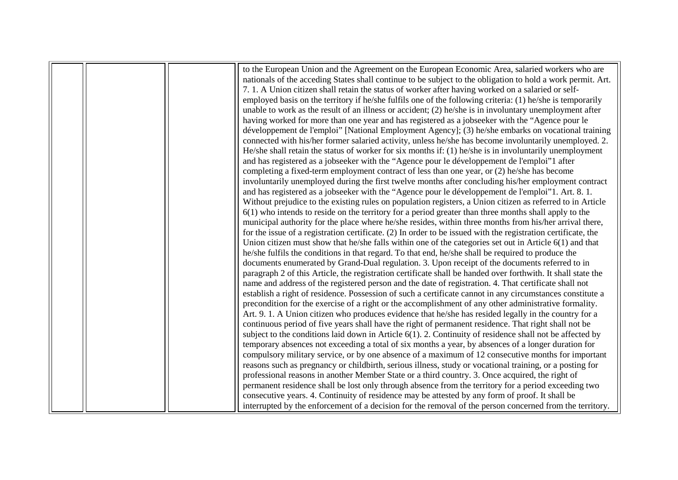|  |  | to the European Union and the Agreement on the European Economic Area, salaried workers who are<br>nationals of the acceding States shall continue to be subject to the obligation to hold a work permit. Art. |
|--|--|----------------------------------------------------------------------------------------------------------------------------------------------------------------------------------------------------------------|
|  |  | 7. 1. A Union citizen shall retain the status of worker after having worked on a salaried or self-                                                                                                             |
|  |  | employed basis on the territory if he/she fulfils one of the following criteria: (1) he/she is temporarily                                                                                                     |
|  |  | unable to work as the result of an illness or accident; $(2)$ he/she is in involuntary unemployment after                                                                                                      |
|  |  | having worked for more than one year and has registered as a jobseeker with the "Agence pour le                                                                                                                |
|  |  | développement de l'emploi" [National Employment Agency]; (3) he/she embarks on vocational training                                                                                                             |
|  |  | connected with his/her former salaried activity, unless he/she has become involuntarily unemployed. 2.                                                                                                         |
|  |  | He/she shall retain the status of worker for six months if: $(1)$ he/she is in involuntarily unemployment                                                                                                      |
|  |  | and has registered as a jobseeker with the "Agence pour le développement de l'emploi" lafter                                                                                                                   |
|  |  | completing a fixed-term employment contract of less than one year, or (2) he/she has become                                                                                                                    |
|  |  | involuntarily unemployed during the first twelve months after concluding his/her employment contract                                                                                                           |
|  |  | and has registered as a jobseeker with the "Agence pour le développement de l'emploi"1. Art. 8. 1.                                                                                                             |
|  |  | Without prejudice to the existing rules on population registers, a Union citizen as referred to in Article                                                                                                     |
|  |  | $6(1)$ who intends to reside on the territory for a period greater than three months shall apply to the                                                                                                        |
|  |  | municipal authority for the place where he/she resides, within three months from his/her arrival there,                                                                                                        |
|  |  | for the issue of a registration certificate. $(2)$ In order to be issued with the registration certificate, the                                                                                                |
|  |  | Union citizen must show that he/she falls within one of the categories set out in Article $6(1)$ and that                                                                                                      |
|  |  | he/she fulfils the conditions in that regard. To that end, he/she shall be required to produce the                                                                                                             |
|  |  | documents enumerated by Grand-Dual regulation. 3. Upon receipt of the documents referred to in                                                                                                                 |
|  |  | paragraph 2 of this Article, the registration certificate shall be handed over forthwith. It shall state the                                                                                                   |
|  |  | name and address of the registered person and the date of registration. 4. That certificate shall not                                                                                                          |
|  |  | establish a right of residence. Possession of such a certificate cannot in any circumstances constitute a                                                                                                      |
|  |  | precondition for the exercise of a right or the accomplishment of any other administrative formality.                                                                                                          |
|  |  | Art. 9. 1. A Union citizen who produces evidence that he/she has resided legally in the country for a                                                                                                          |
|  |  | continuous period of five years shall have the right of permanent residence. That right shall not be                                                                                                           |
|  |  | subject to the conditions laid down in Article $6(1)$ . 2. Continuity of residence shall not be affected by                                                                                                    |
|  |  | temporary absences not exceeding a total of six months a year, by absences of a longer duration for                                                                                                            |
|  |  | compulsory military service, or by one absence of a maximum of 12 consecutive months for important                                                                                                             |
|  |  | reasons such as pregnancy or childbirth, serious illness, study or vocational training, or a posting for                                                                                                       |
|  |  | professional reasons in another Member State or a third country. 3. Once acquired, the right of                                                                                                                |
|  |  | permanent residence shall be lost only through absence from the territory for a period exceeding two                                                                                                           |
|  |  | consecutive years. 4. Continuity of residence may be attested by any form of proof. It shall be                                                                                                                |
|  |  | interrupted by the enforcement of a decision for the removal of the person concerned from the territory.                                                                                                       |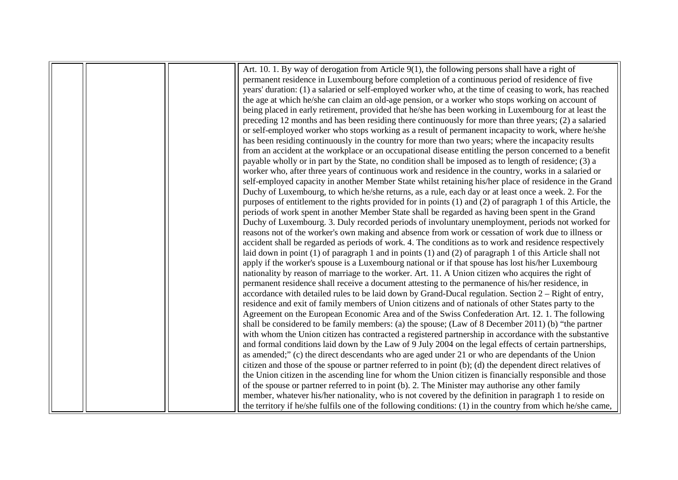|  | Art. 10. 1. By way of derogation from Article $9(1)$ , the following persons shall have a right of             |
|--|----------------------------------------------------------------------------------------------------------------|
|  | permanent residence in Luxembourg before completion of a continuous period of residence of five                |
|  | years' duration: (1) a salaried or self-employed worker who, at the time of ceasing to work, has reached       |
|  | the age at which he/she can claim an old-age pension, or a worker who stops working on account of              |
|  | being placed in early retirement, provided that he/she has been working in Luxembourg for at least the         |
|  | preceding 12 months and has been residing there continuously for more than three years; (2) a salaried         |
|  | or self-employed worker who stops working as a result of permanent incapacity to work, where he/she            |
|  | has been residing continuously in the country for more than two years; where the incapacity results            |
|  | from an accident at the workplace or an occupational disease entitling the person concerned to a benefit       |
|  | payable wholly or in part by the State, no condition shall be imposed as to length of residence; (3) a         |
|  | worker who, after three years of continuous work and residence in the country, works in a salaried or          |
|  | self-employed capacity in another Member State whilst retaining his/her place of residence in the Grand        |
|  | Duchy of Luxembourg, to which he/she returns, as a rule, each day or at least once a week. 2. For the          |
|  | purposes of entitlement to the rights provided for in points (1) and (2) of paragraph 1 of this Article, the   |
|  | periods of work spent in another Member State shall be regarded as having been spent in the Grand              |
|  | Duchy of Luxembourg. 3. Duly recorded periods of involuntary unemployment, periods not worked for              |
|  | reasons not of the worker's own making and absence from work or cessation of work due to illness or            |
|  | accident shall be regarded as periods of work. 4. The conditions as to work and residence respectively         |
|  | laid down in point $(1)$ of paragraph 1 and in points $(1)$ and $(2)$ of paragraph 1 of this Article shall not |
|  | apply if the worker's spouse is a Luxembourg national or if that spouse has lost his/her Luxembourg            |
|  | nationality by reason of marriage to the worker. Art. 11. A Union citizen who acquires the right of            |
|  | permanent residence shall receive a document attesting to the permanence of his/her residence, in              |
|  | accordance with detailed rules to be laid down by Grand-Ducal regulation. Section $2 -$ Right of entry,        |
|  | residence and exit of family members of Union citizens and of nationals of other States party to the           |
|  | Agreement on the European Economic Area and of the Swiss Confederation Art. 12. 1. The following               |
|  | shall be considered to be family members: (a) the spouse; (Law of 8 December 2011) (b) "the partner            |
|  | with whom the Union citizen has contracted a registered partnership in accordance with the substantive         |
|  | and formal conditions laid down by the Law of 9 July 2004 on the legal effects of certain partnerships,        |
|  | as amended;" (c) the direct descendants who are aged under 21 or who are dependants of the Union               |
|  | citizen and those of the spouse or partner referred to in point (b); (d) the dependent direct relatives of     |
|  | the Union citizen in the ascending line for whom the Union citizen is financially responsible and those        |
|  | of the spouse or partner referred to in point (b). 2. The Minister may authorise any other family              |
|  | member, whatever his/her nationality, who is not covered by the definition in paragraph 1 to reside on         |
|  | the territory if he/she fulfils one of the following conditions: (1) in the country from which he/she came,    |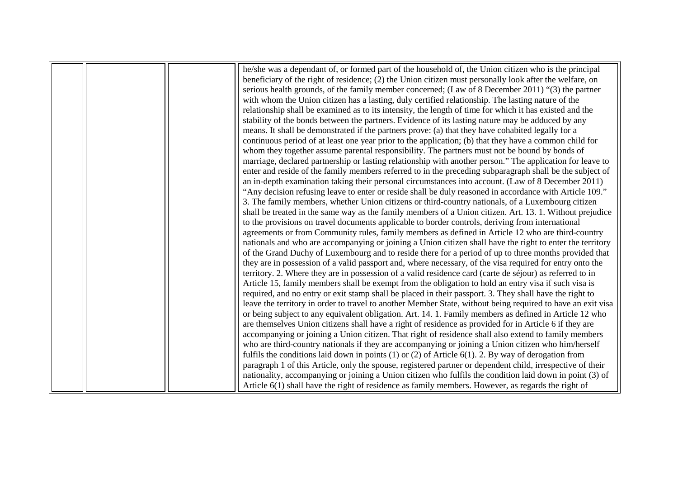|  | he/she was a dependant of, or formed part of the household of, the Union citizen who is the principal       |
|--|-------------------------------------------------------------------------------------------------------------|
|  | beneficiary of the right of residence; (2) the Union citizen must personally look after the welfare, on     |
|  | serious health grounds, of the family member concerned; (Law of 8 December 2011) "(3) the partner           |
|  | with whom the Union citizen has a lasting, duly certified relationship. The lasting nature of the           |
|  | relationship shall be examined as to its intensity, the length of time for which it has existed and the     |
|  | stability of the bonds between the partners. Evidence of its lasting nature may be adduced by any           |
|  | means. It shall be demonstrated if the partners prove: (a) that they have cohabited legally for a           |
|  | continuous period of at least one year prior to the application; (b) that they have a common child for      |
|  | whom they together assume parental responsibility. The partners must not be bound by bonds of               |
|  | marriage, declared partnership or lasting relationship with another person." The application for leave to   |
|  | enter and reside of the family members referred to in the preceding subparagraph shall be the subject of    |
|  | an in-depth examination taking their personal circumstances into account. (Law of 8 December 2011)          |
|  | "Any decision refusing leave to enter or reside shall be duly reasoned in accordance with Article 109."     |
|  | 3. The family members, whether Union citizens or third-country nationals, of a Luxembourg citizen           |
|  | shall be treated in the same way as the family members of a Union citizen. Art. 13. 1. Without prejudice    |
|  | to the provisions on travel documents applicable to border controls, deriving from international            |
|  | agreements or from Community rules, family members as defined in Article 12 who are third-country           |
|  | nationals and who are accompanying or joining a Union citizen shall have the right to enter the territory   |
|  | of the Grand Duchy of Luxembourg and to reside there for a period of up to three months provided that       |
|  | they are in possession of a valid passport and, where necessary, of the visa required for entry onto the    |
|  | territory. 2. Where they are in possession of a valid residence card (carte de séjour) as referred to in    |
|  | Article 15, family members shall be exempt from the obligation to hold an entry visa if such visa is        |
|  | required, and no entry or exit stamp shall be placed in their passport. 3. They shall have the right to     |
|  | leave the territory in order to travel to another Member State, without being required to have an exit visa |
|  | or being subject to any equivalent obligation. Art. 14. 1. Family members as defined in Article 12 who      |
|  | are themselves Union citizens shall have a right of residence as provided for in Article 6 if they are      |
|  | accompanying or joining a Union citizen. That right of residence shall also extend to family members        |
|  | who are third-country nationals if they are accompanying or joining a Union citizen who him/herself         |
|  | fulfils the conditions laid down in points $(1)$ or $(2)$ of Article $6(1)$ . 2. By way of derogation from  |
|  | paragraph 1 of this Article, only the spouse, registered partner or dependent child, irrespective of their  |
|  | nationality, accompanying or joining a Union citizen who fulfils the condition laid down in point (3) of    |
|  | Article $6(1)$ shall have the right of residence as family members. However, as regards the right of        |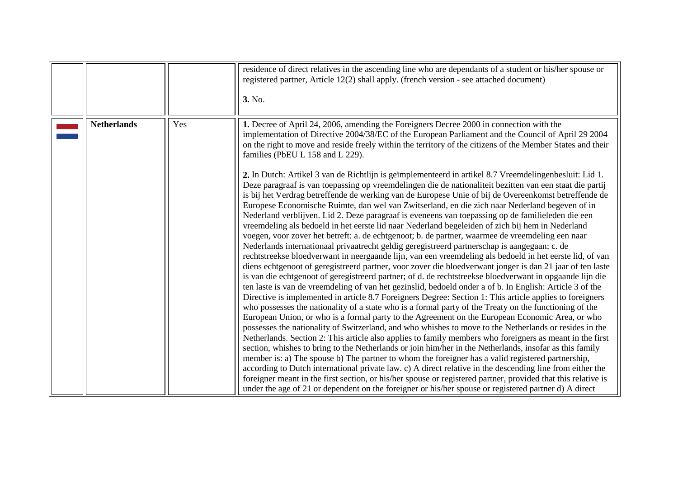<span id="page-26-0"></span>

|                    |     | residence of direct relatives in the ascending line who are dependants of a student or his/her spouse or<br>registered partner, Article 12(2) shall apply. (french version - see attached document)<br>3. No.                                                                                                                                                                                                                                                                                                                                                                                                                                                                                                                                                                                                                                                                                                                                                                                                                                                                                                                                                                                                                                                                                                                                                                                                                                                                                                                                                                                                                                                                                                                                                                                                                                                                                                                                                                                                                                                                                                                                                                                                                                                                                           |
|--------------------|-----|---------------------------------------------------------------------------------------------------------------------------------------------------------------------------------------------------------------------------------------------------------------------------------------------------------------------------------------------------------------------------------------------------------------------------------------------------------------------------------------------------------------------------------------------------------------------------------------------------------------------------------------------------------------------------------------------------------------------------------------------------------------------------------------------------------------------------------------------------------------------------------------------------------------------------------------------------------------------------------------------------------------------------------------------------------------------------------------------------------------------------------------------------------------------------------------------------------------------------------------------------------------------------------------------------------------------------------------------------------------------------------------------------------------------------------------------------------------------------------------------------------------------------------------------------------------------------------------------------------------------------------------------------------------------------------------------------------------------------------------------------------------------------------------------------------------------------------------------------------------------------------------------------------------------------------------------------------------------------------------------------------------------------------------------------------------------------------------------------------------------------------------------------------------------------------------------------------------------------------------------------------------------------------------------------------|
| <b>Netherlands</b> | Yes | 1. Decree of April 24, 2006, amending the Foreigners Decree 2000 in connection with the<br>implementation of Directive 2004/38/EC of the European Parliament and the Council of April 29 2004<br>on the right to move and reside freely within the territory of the citizens of the Member States and their<br>families (PbEU L 158 and L 229).<br>2. In Dutch: Artikel 3 van de Richtlijn is geïmplementeerd in artikel 8.7 Vreemdelingenbesluit: Lid 1.<br>Deze paragraaf is van toepassing op vreemdelingen die de nationaliteit bezitten van een staat die partij<br>is bij het Verdrag betreffende de werking van de Europese Unie of bij de Overeenkomst betreffende de<br>Europese Economische Ruimte, dan wel van Zwitserland, en die zich naar Nederland begeven of in<br>Nederland verblijven. Lid 2. Deze paragraaf is eveneens van toepassing op de familieleden die een<br>vreemdeling als bedoeld in het eerste lid naar Nederland begeleiden of zich bij hem in Nederland<br>voegen, voor zover het betreft: a. de echtgenoot; b. de partner, waarmee de vreemdeling een naar<br>Nederlands internationaal privaatrecht geldig geregistreerd partnerschap is aangegaan; c. de<br>rechtstreekse bloedverwant in neergaande lijn, van een vreemdeling als bedoeld in het eerste lid, of van<br>diens echtgenoot of geregistreerd partner, voor zover die bloedverwant jonger is dan 21 jaar of ten laste<br>is van die echtgenoot of geregistreerd partner; of d. de rechtstreekse bloedverwant in opgaande lijn die<br>ten laste is van de vreemdeling of van het gezinslid, bedoeld onder a of b. In English: Article 3 of the<br>Directive is implemented in article 8.7 Foreigners Degree: Section 1: This article applies to foreigners<br>who possesses the nationality of a state who is a formal party of the Treaty on the functioning of the<br>European Union, or who is a formal party to the Agreement on the European Economic Area, or who<br>possesses the nationality of Switzerland, and who whishes to move to the Netherlands or resides in the<br>Netherlands. Section 2: This article also applies to family members who foreigners as meant in the first<br>section, whishes to bring to the Netherlands or join him/her in the Netherlands, insofar as this family |
|                    |     | member is: a) The spouse b) The partner to whom the foreigner has a valid registered partnership,<br>according to Dutch international private law. c) A direct relative in the descending line from either the<br>foreigner meant in the first section, or his/her spouse or registered partner, provided that this relative is<br>under the age of 21 or dependent on the foreigner or his/her spouse or registered partner d) A direct                                                                                                                                                                                                                                                                                                                                                                                                                                                                                                                                                                                                                                                                                                                                                                                                                                                                                                                                                                                                                                                                                                                                                                                                                                                                                                                                                                                                                                                                                                                                                                                                                                                                                                                                                                                                                                                                |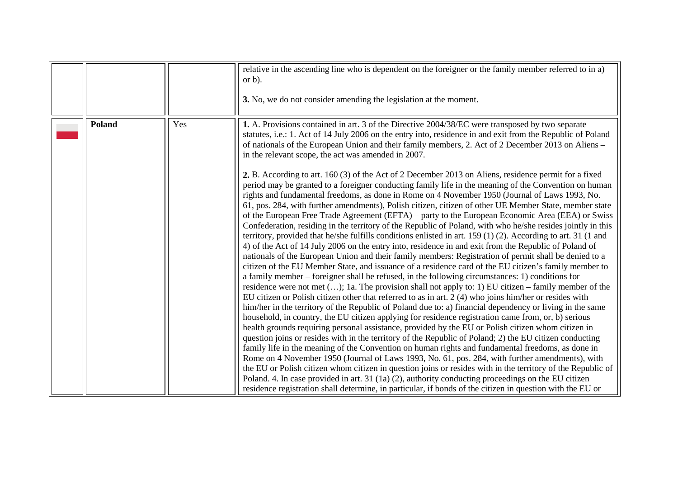<span id="page-27-0"></span>

|               |     | relative in the ascending line who is dependent on the foreigner or the family member referred to in a)<br>or $b$ ).<br>3. No, we do not consider amending the legislation at the moment.                                                                                                                                                                                                                                                                                                                                                                                                                                                                                                                                                                                                                                                                                                                                                                                                                                                                                                                                                                                                                                                                                                                                                                                                                                                                                                                                                                                                                                                                                                                                                                                                                                                                                                                                                                                                                                                                                                                                                                                                                                                                                                                                                                                                               |
|---------------|-----|---------------------------------------------------------------------------------------------------------------------------------------------------------------------------------------------------------------------------------------------------------------------------------------------------------------------------------------------------------------------------------------------------------------------------------------------------------------------------------------------------------------------------------------------------------------------------------------------------------------------------------------------------------------------------------------------------------------------------------------------------------------------------------------------------------------------------------------------------------------------------------------------------------------------------------------------------------------------------------------------------------------------------------------------------------------------------------------------------------------------------------------------------------------------------------------------------------------------------------------------------------------------------------------------------------------------------------------------------------------------------------------------------------------------------------------------------------------------------------------------------------------------------------------------------------------------------------------------------------------------------------------------------------------------------------------------------------------------------------------------------------------------------------------------------------------------------------------------------------------------------------------------------------------------------------------------------------------------------------------------------------------------------------------------------------------------------------------------------------------------------------------------------------------------------------------------------------------------------------------------------------------------------------------------------------------------------------------------------------------------------------------------------------|
| <b>Poland</b> | Yes | 1. A. Provisions contained in art. 3 of the Directive 2004/38/EC were transposed by two separate<br>statutes, i.e.: 1. Act of 14 July 2006 on the entry into, residence in and exit from the Republic of Poland<br>of nationals of the European Union and their family members, 2. Act of 2 December 2013 on Aliens –<br>in the relevant scope, the act was amended in 2007.                                                                                                                                                                                                                                                                                                                                                                                                                                                                                                                                                                                                                                                                                                                                                                                                                                                                                                                                                                                                                                                                                                                                                                                                                                                                                                                                                                                                                                                                                                                                                                                                                                                                                                                                                                                                                                                                                                                                                                                                                            |
|               |     | <b>2.</b> B. According to art. 160 (3) of the Act of 2 December 2013 on Aliens, residence permit for a fixed<br>period may be granted to a foreigner conducting family life in the meaning of the Convention on human<br>rights and fundamental freedoms, as done in Rome on 4 November 1950 (Journal of Laws 1993, No.<br>61, pos. 284, with further amendments), Polish citizen, citizen of other UE Member State, member state<br>of the European Free Trade Agreement (EFTA) – party to the European Economic Area (EEA) or Swiss<br>Confederation, residing in the territory of the Republic of Poland, with who he/she resides jointly in this<br>territory, provided that he/she fulfills conditions enlisted in art. 159 (1) (2). According to art. 31 (1 and<br>4) of the Act of 14 July 2006 on the entry into, residence in and exit from the Republic of Poland of<br>nationals of the European Union and their family members: Registration of permit shall be denied to a<br>citizen of the EU Member State, and issuance of a residence card of the EU citizen's family member to<br>a family member – foreigner shall be refused, in the following circumstances: 1) conditions for<br>residence were not met $();$ 1a. The provision shall not apply to: 1) EU citizen – family member of the<br>EU citizen or Polish citizen other that referred to as in art. 2 (4) who joins him/her or resides with<br>him/her in the territory of the Republic of Poland due to: a) financial dependency or living in the same<br>household, in country, the EU citizen applying for residence registration came from, or, b) serious<br>health grounds requiring personal assistance, provided by the EU or Polish citizen whom citizen in<br>question joins or resides with in the territory of the Republic of Poland; 2) the EU citizen conducting<br>family life in the meaning of the Convention on human rights and fundamental freedoms, as done in<br>Rome on 4 November 1950 (Journal of Laws 1993, No. 61, pos. 284, with further amendments), with<br>the EU or Polish citizen whom citizen in question joins or resides with in the territory of the Republic of<br>Poland. 4. In case provided in art. 31 (1a) (2), authority conducting proceedings on the EU citizen<br>residence registration shall determine, in particular, if bonds of the citizen in question with the EU or |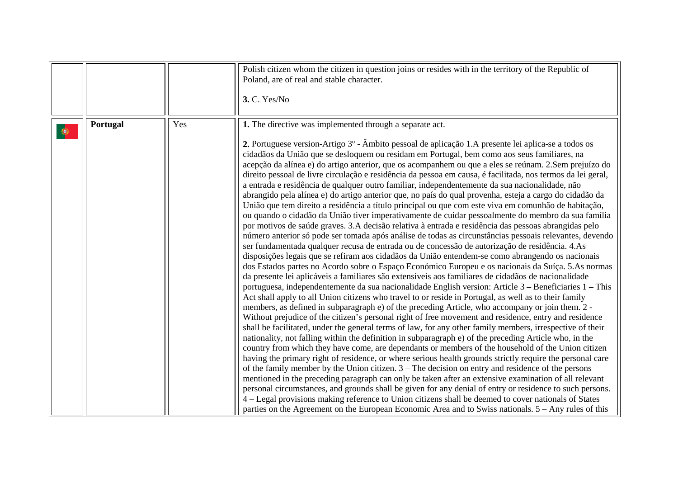<span id="page-28-0"></span>

|   |          |     | Polish citizen whom the citizen in question joins or resides with in the territory of the Republic of<br>Poland, are of real and stable character.<br>3. C. Yes/No                                                                                                                                                                                                                                                                                                                                                                                                                                                                                                                                                                                                                                                                                                                                                                                                                                                                                                                                                                                                                                                                                                                                                                                                                                                                                                                                                                                                                                                                                                                                                                                                                                                                                                                                                                                                                                                                                                                                                                                                                                                                                                                                                                                                                                                                                                                                                                                                                                                                                                                                                                                                                                                                                                                                                                                                                        |
|---|----------|-----|-------------------------------------------------------------------------------------------------------------------------------------------------------------------------------------------------------------------------------------------------------------------------------------------------------------------------------------------------------------------------------------------------------------------------------------------------------------------------------------------------------------------------------------------------------------------------------------------------------------------------------------------------------------------------------------------------------------------------------------------------------------------------------------------------------------------------------------------------------------------------------------------------------------------------------------------------------------------------------------------------------------------------------------------------------------------------------------------------------------------------------------------------------------------------------------------------------------------------------------------------------------------------------------------------------------------------------------------------------------------------------------------------------------------------------------------------------------------------------------------------------------------------------------------------------------------------------------------------------------------------------------------------------------------------------------------------------------------------------------------------------------------------------------------------------------------------------------------------------------------------------------------------------------------------------------------------------------------------------------------------------------------------------------------------------------------------------------------------------------------------------------------------------------------------------------------------------------------------------------------------------------------------------------------------------------------------------------------------------------------------------------------------------------------------------------------------------------------------------------------------------------------------------------------------------------------------------------------------------------------------------------------------------------------------------------------------------------------------------------------------------------------------------------------------------------------------------------------------------------------------------------------------------------------------------------------------------------------------------------------|
| ۰ | Portugal | Yes | 1. The directive was implemented through a separate act.<br>2. Portuguese version-Artigo 3 <sup>°</sup> - Âmbito pessoal de aplicação 1.A presente lei aplica-se a todos os<br>cidadãos da União que se desloquem ou residam em Portugal, bem como aos seus familiares, na<br>acepção da alínea e) do artigo anterior, que os acompanhem ou que a eles se reúnam. 2.Sem prejuízo do<br>direito pessoal de livre circulação e residência da pessoa em causa, é facilitada, nos termos da lei geral,<br>a entrada e residência de qualquer outro familiar, independentemente da sua nacionalidade, não<br>abrangido pela alínea e) do artigo anterior que, no país do qual provenha, esteja a cargo do cidadão da<br>União que tem direito a residência a título principal ou que com este viva em comunhão de habitação,<br>ou quando o cidadão da União tiver imperativamente de cuidar pessoalmente do membro da sua família<br>por motivos de saúde graves. 3.A decisão relativa à entrada e residência das pessoas abrangidas pelo<br>número anterior só pode ser tomada após análise de todas as circunstâncias pessoais relevantes, devendo<br>ser fundamentada qualquer recusa de entrada ou de concessão de autorização de residência. 4.As<br>disposições legais que se refiram aos cidadãos da União entendem-se como abrangendo os nacionais<br>dos Estados partes no Acordo sobre o Espaço Económico Europeu e os nacionais da Suíça. 5.As normas<br>da presente lei aplicáveis a familiares são extensíveis aos familiares de cidadãos de nacionalidade<br>portuguesa, independentemente da sua nacionalidade English version: Article 3 – Beneficiaries 1 – This<br>Act shall apply to all Union citizens who travel to or reside in Portugal, as well as to their family<br>members, as defined in subparagraph e) of the preceding Article, who accompany or join them. 2 -<br>Without prejudice of the citizen's personal right of free movement and residence, entry and residence<br>shall be facilitated, under the general terms of law, for any other family members, irrespective of their<br>nationality, not falling within the definition in subparagraph e) of the preceding Article who, in the<br>country from which they have come, are dependants or members of the household of the Union citizen<br>having the primary right of residence, or where serious health grounds strictly require the personal care<br>of the family member by the Union citizen. $3$ – The decision on entry and residence of the persons<br>mentioned in the preceding paragraph can only be taken after an extensive examination of all relevant<br>personal circumstances, and grounds shall be given for any denial of entry or residence to such persons.<br>4 – Legal provisions making reference to Union citizens shall be deemed to cover nationals of States<br>parties on the Agreement on the European Economic Area and to Swiss nationals. 5 – Any rules of this |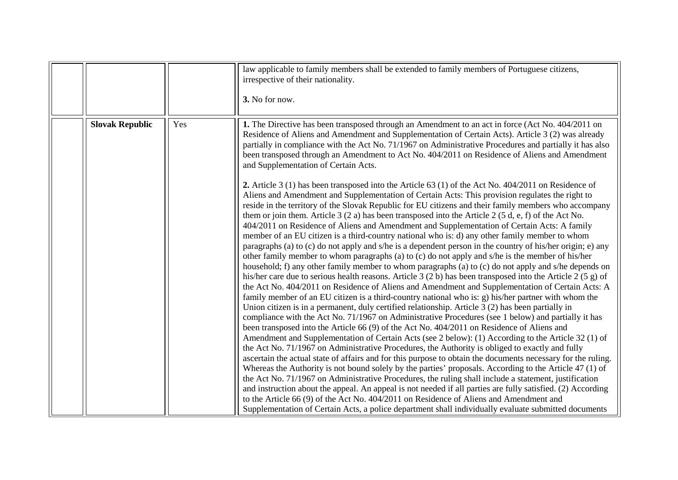<span id="page-29-0"></span>

|                        |     | law applicable to family members shall be extended to family members of Portuguese citizens,<br>irrespective of their nationality.<br>3. No for now.                                                                                                                                                                                                                                                                                                                                                                                                                                                                                                                                                                                                                                                                                                                                                                                                                                                                                                                                                                                                                                                                                                                                                                                                                                                                                                                                                                                                                                                                                                                                                                                                                                                                                                                                                                                                                                                                          |
|------------------------|-----|-------------------------------------------------------------------------------------------------------------------------------------------------------------------------------------------------------------------------------------------------------------------------------------------------------------------------------------------------------------------------------------------------------------------------------------------------------------------------------------------------------------------------------------------------------------------------------------------------------------------------------------------------------------------------------------------------------------------------------------------------------------------------------------------------------------------------------------------------------------------------------------------------------------------------------------------------------------------------------------------------------------------------------------------------------------------------------------------------------------------------------------------------------------------------------------------------------------------------------------------------------------------------------------------------------------------------------------------------------------------------------------------------------------------------------------------------------------------------------------------------------------------------------------------------------------------------------------------------------------------------------------------------------------------------------------------------------------------------------------------------------------------------------------------------------------------------------------------------------------------------------------------------------------------------------------------------------------------------------------------------------------------------------|
| <b>Slovak Republic</b> | Yes | 1. The Directive has been transposed through an Amendment to an act in force (Act No. 404/2011 on<br>Residence of Aliens and Amendment and Supplementation of Certain Acts). Article 3 (2) was already<br>partially in compliance with the Act No. 71/1967 on Administrative Procedures and partially it has also<br>been transposed through an Amendment to Act No. 404/2011 on Residence of Aliens and Amendment<br>and Supplementation of Certain Acts.<br>2. Article 3 (1) has been transposed into the Article 63 (1) of the Act No. $404/2011$ on Residence of                                                                                                                                                                                                                                                                                                                                                                                                                                                                                                                                                                                                                                                                                                                                                                                                                                                                                                                                                                                                                                                                                                                                                                                                                                                                                                                                                                                                                                                          |
|                        |     | Aliens and Amendment and Supplementation of Certain Acts: This provision regulates the right to<br>reside in the territory of the Slovak Republic for EU citizens and their family members who accompany<br>them or join them. Article $3(2a)$ has been transposed into the Article $2(5d, e, f)$ of the Act No.<br>404/2011 on Residence of Aliens and Amendment and Supplementation of Certain Acts: A family<br>member of an EU citizen is a third-country national who is: d) any other family member to whom<br>paragraphs (a) to (c) do not apply and s/he is a dependent person in the country of his/her origin; e) any<br>other family member to whom paragraphs (a) to (c) do not apply and s/he is the member of his/her<br>household; f) any other family member to whom paragraphs (a) to (c) do not apply and s/he depends on<br>his/her care due to serious health reasons. Article 3 (2 b) has been transposed into the Article 2 (5 g) of<br>the Act No. 404/2011 on Residence of Aliens and Amendment and Supplementation of Certain Acts: A<br>family member of an EU citizen is a third-country national who is: g) his/her partner with whom the<br>Union citizen is in a permanent, duly certified relationship. Article 3 (2) has been partially in<br>compliance with the Act No. 71/1967 on Administrative Procedures (see 1 below) and partially it has<br>been transposed into the Article 66 (9) of the Act No. 404/2011 on Residence of Aliens and<br>Amendment and Supplementation of Certain Acts (see 2 below): (1) According to the Article 32 (1) of<br>the Act No. 71/1967 on Administrative Procedures, the Authority is obliged to exactly and fully<br>ascertain the actual state of affairs and for this purpose to obtain the documents necessary for the ruling.<br>Whereas the Authority is not bound solely by the parties' proposals. According to the Article 47 (1) of<br>the Act No. 71/1967 on Administrative Procedures, the ruling shall include a statement, justification |
|                        |     | and instruction about the appeal. An appeal is not needed if all parties are fully satisfied. (2) According<br>to the Article 66 (9) of the Act No. 404/2011 on Residence of Aliens and Amendment and<br>Supplementation of Certain Acts, a police department shall individually evaluate submitted documents                                                                                                                                                                                                                                                                                                                                                                                                                                                                                                                                                                                                                                                                                                                                                                                                                                                                                                                                                                                                                                                                                                                                                                                                                                                                                                                                                                                                                                                                                                                                                                                                                                                                                                                 |